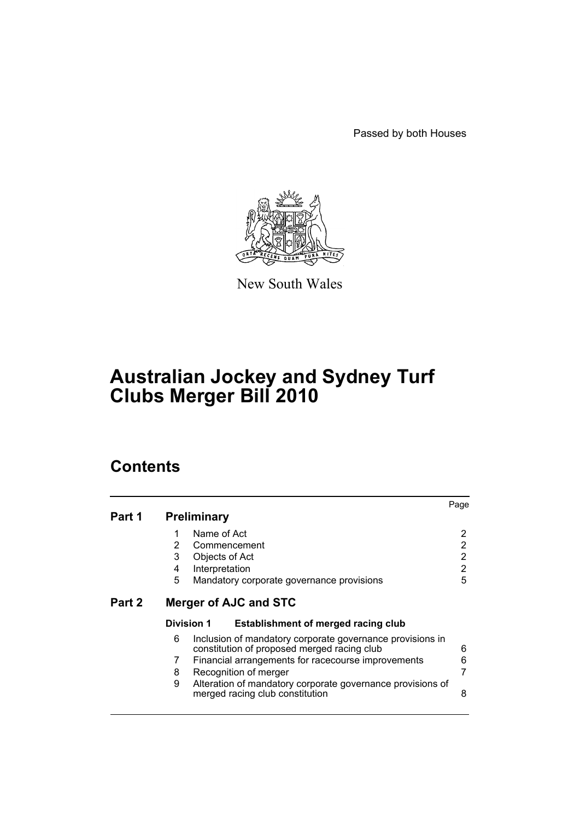Passed by both Houses



New South Wales

# **Australian Jockey and Sydney Turf Clubs Merger Bill 2010**

# **Contents**

|        |                |                                                                                                          | Page |
|--------|----------------|----------------------------------------------------------------------------------------------------------|------|
| Part 1 |                | <b>Preliminary</b>                                                                                       |      |
|        | 1              | Name of Act                                                                                              | 2    |
|        | $\overline{2}$ | Commencement                                                                                             | 2    |
|        | 3              | Objects of Act                                                                                           | 2    |
|        | 4              | Interpretation                                                                                           | 2    |
|        | 5              | Mandatory corporate governance provisions                                                                | 5    |
| Part 2 |                | <b>Merger of AJC and STC</b>                                                                             |      |
|        | Division 1     | Establishment of merged racing club                                                                      |      |
|        | 6              | Inclusion of mandatory corporate governance provisions in<br>constitution of proposed merged racing club | 6    |
|        | 7              | Financial arrangements for racecourse improvements                                                       | 6    |
|        | 8              | Recognition of merger                                                                                    |      |
|        | 9              | Alteration of mandatory corporate governance provisions of<br>merged racing club constitution            | 8    |
|        |                |                                                                                                          |      |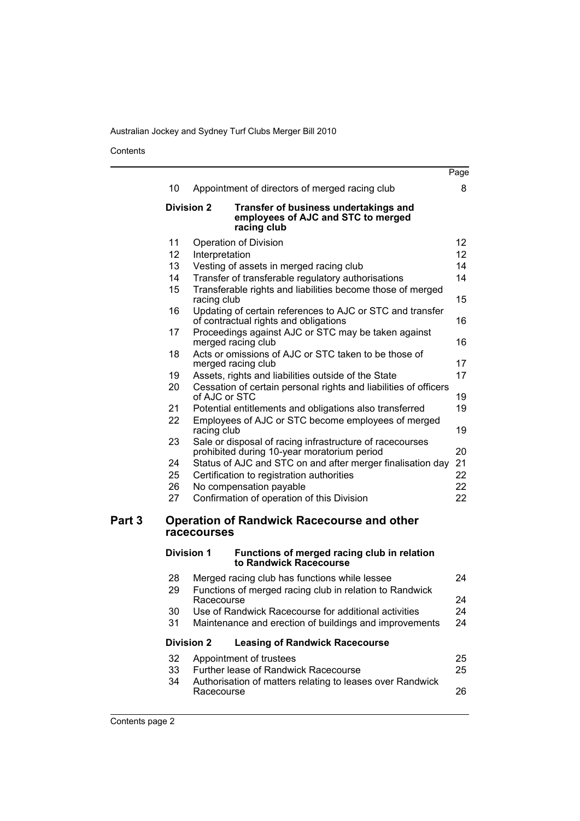Contents

|        |                   |                   |                                                                                                                         | Page            |
|--------|-------------------|-------------------|-------------------------------------------------------------------------------------------------------------------------|-----------------|
|        | 10                |                   | Appointment of directors of merged racing club                                                                          | 8               |
|        |                   | <b>Division 2</b> | Transfer of business undertakings and<br>employees of AJC and STC to merged<br>racing club                              |                 |
|        | 11                |                   | Operation of Division                                                                                                   | 12              |
|        | 12                | Interpretation    |                                                                                                                         | 12 <sub>2</sub> |
|        | 13                |                   | Vesting of assets in merged racing club                                                                                 | 14              |
|        | 14                |                   | Transfer of transferable regulatory authorisations                                                                      | 14              |
|        | 15                | racing club       | Transferable rights and liabilities become those of merged                                                              | 15              |
|        | 16                |                   | Updating of certain references to AJC or STC and transfer<br>of contractual rights and obligations                      | 16              |
|        | 17                |                   | Proceedings against AJC or STC may be taken against<br>merged racing club                                               | 16              |
|        | 18                |                   | Acts or omissions of AJC or STC taken to be those of<br>merged racing club                                              | 17              |
|        | 19<br>20          |                   | Assets, rights and liabilities outside of the State<br>Cessation of certain personal rights and liabilities of officers | 17              |
|        | 21                | of AJC or STC     | Potential entitlements and obligations also transferred                                                                 | 19<br>19        |
|        | 22                | racing club       | Employees of AJC or STC become employees of merged                                                                      | 19              |
|        | 23                |                   | Sale or disposal of racing infrastructure of racecourses<br>prohibited during 10-year moratorium period                 | 20              |
|        | 24                |                   | Status of AJC and STC on and after merger finalisation day                                                              | 21              |
|        | 25                |                   | Certification to registration authorities                                                                               | 22              |
|        | 26                |                   | No compensation payable                                                                                                 | 22              |
|        | 27                |                   | Confirmation of operation of this Division                                                                              | 22              |
| Part 3 |                   | racecourses       | <b>Operation of Randwick Racecourse and other</b>                                                                       |                 |
|        | <b>Division 1</b> |                   | Functions of merged racing club in relation<br>to Randwick Racecourse                                                   |                 |
|        | 28<br>29          |                   | Merged racing club has functions while lessee<br>Functions of merged racing club in relation to Randwick                | 24              |
|        | 30<br>31          | Racecourse        | Use of Randwick Racecourse for additional activities<br>Maintenance and erection of buildings and improvements          | 24<br>24<br>24  |
|        |                   | <b>Division 2</b> | <b>Leasing of Randwick Racecourse</b>                                                                                   |                 |
|        | 32                |                   | Appointment of trustees                                                                                                 | 25              |
|        | 33                |                   | Further lease of Randwick Racecourse                                                                                    | 25              |
|        | 34                | Racecourse        | Authorisation of matters relating to leases over Randwick                                                               | 26              |
|        |                   |                   |                                                                                                                         |                 |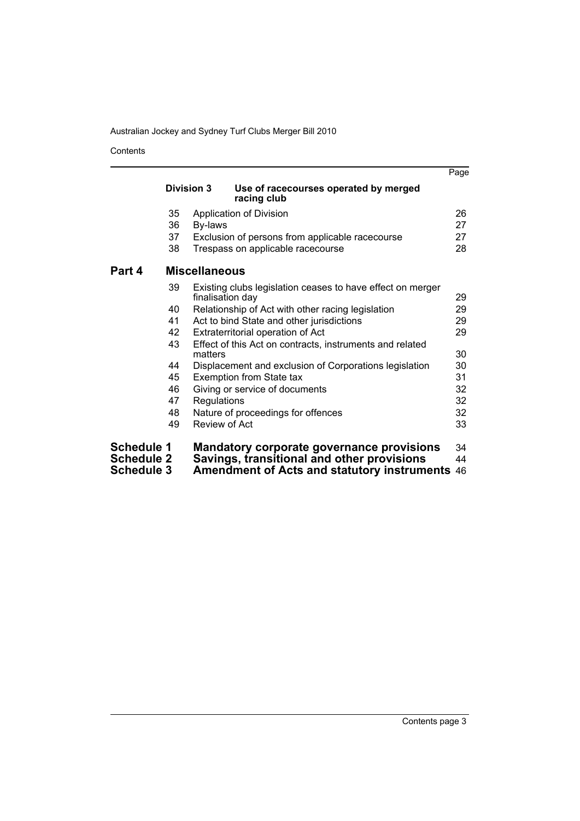Contents

|                   |            |                                                                     | Page |
|-------------------|------------|---------------------------------------------------------------------|------|
|                   | Division 3 | Use of racecourses operated by merged<br>racing club                |      |
|                   | 35         | Application of Division                                             | 26   |
|                   | 36         | By-laws                                                             | 27   |
|                   | 37         | Exclusion of persons from applicable racecourse                     | 27   |
|                   | 38         | Trespass on applicable racecourse                                   | 28   |
| Part 4            |            | <b>Miscellaneous</b>                                                |      |
|                   | 39         | Existing clubs legislation ceases to have effect on merger          |      |
|                   |            | finalisation day                                                    | 29   |
|                   | 40         | Relationship of Act with other racing legislation                   | 29   |
|                   | 41         | Act to bind State and other jurisdictions                           | 29   |
|                   | 42         | Extraterritorial operation of Act                                   | 29   |
|                   | 43         | Effect of this Act on contracts, instruments and related<br>matters | 30   |
|                   | 44         | Displacement and exclusion of Corporations legislation              | 30   |
|                   | 45         | <b>Exemption from State tax</b>                                     | 31   |
|                   | 46         | Giving or service of documents                                      | 32   |
|                   | 47         | Regulations                                                         | 32   |
|                   | 48         | Nature of proceedings for offences                                  | 32   |
|                   | 49         | Review of Act                                                       | 33   |
| Schedule 1        |            | Mandatory corporate governance provisions                           | 34   |
| <b>Schedule 2</b> |            | Savings, transitional and other provisions                          | 44   |
| <b>Schedule 3</b> |            | <b>Amendment of Acts and statutory instruments 46</b>               |      |
|                   |            |                                                                     |      |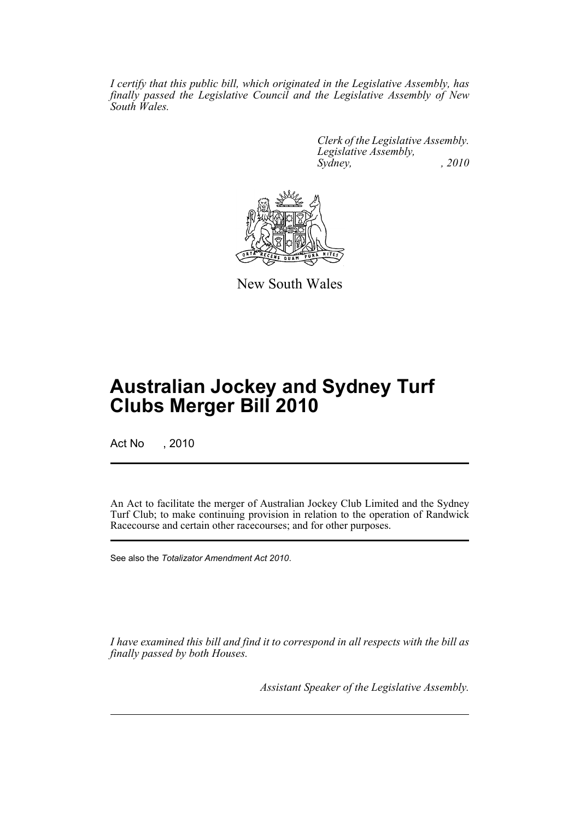*I certify that this public bill, which originated in the Legislative Assembly, has finally passed the Legislative Council and the Legislative Assembly of New South Wales.*

> *Clerk of the Legislative Assembly. Legislative Assembly, Sydney, , 2010*



New South Wales

# **Australian Jockey and Sydney Turf Clubs Merger Bill 2010**

Act No , 2010

An Act to facilitate the merger of Australian Jockey Club Limited and the Sydney Turf Club; to make continuing provision in relation to the operation of Randwick Racecourse and certain other racecourses; and for other purposes.

See also the *Totalizator Amendment Act 2010*.

*I have examined this bill and find it to correspond in all respects with the bill as finally passed by both Houses.*

*Assistant Speaker of the Legislative Assembly.*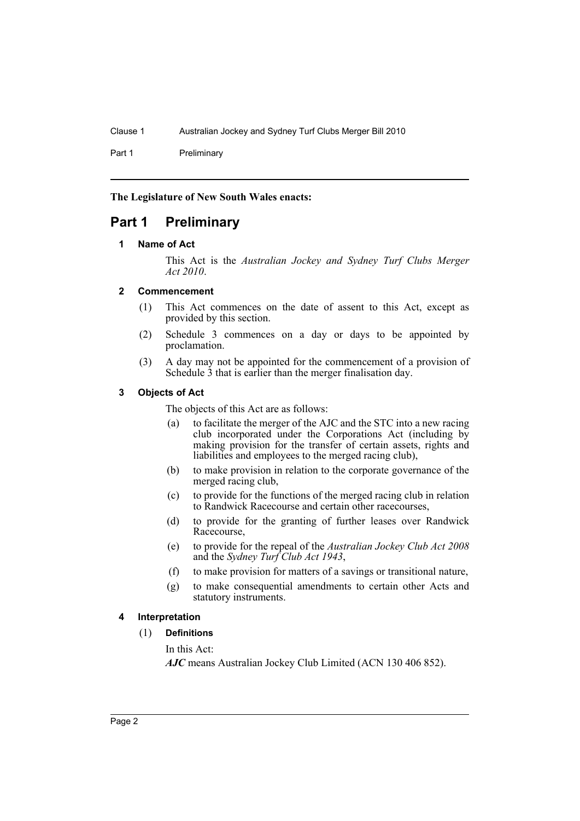Part 1 Preliminary

**The Legislature of New South Wales enacts:**

# <span id="page-5-1"></span><span id="page-5-0"></span>**Part 1 Preliminary**

#### **1 Name of Act**

This Act is the *Australian Jockey and Sydney Turf Clubs Merger Act 2010*.

#### <span id="page-5-2"></span>**2 Commencement**

- (1) This Act commences on the date of assent to this Act, except as provided by this section.
- (2) Schedule 3 commences on a day or days to be appointed by proclamation.
- (3) A day may not be appointed for the commencement of a provision of Schedule  $\dot{3}$  that is earlier than the merger finalisation day.

#### <span id="page-5-3"></span>**3 Objects of Act**

The objects of this Act are as follows:

- (a) to facilitate the merger of the AJC and the STC into a new racing club incorporated under the Corporations Act (including by making provision for the transfer of certain assets, rights and liabilities and employees to the merged racing club),
- (b) to make provision in relation to the corporate governance of the merged racing club,
- (c) to provide for the functions of the merged racing club in relation to Randwick Racecourse and certain other racecourses,
- (d) to provide for the granting of further leases over Randwick Racecourse,
- (e) to provide for the repeal of the *Australian Jockey Club Act 2008* and the *Sydney Turf Club Act 1943*,
- (f) to make provision for matters of a savings or transitional nature,
- (g) to make consequential amendments to certain other Acts and statutory instruments.

#### <span id="page-5-4"></span>**4 Interpretation**

(1) **Definitions**

In this Act:

*AJC* means Australian Jockey Club Limited (ACN 130 406 852).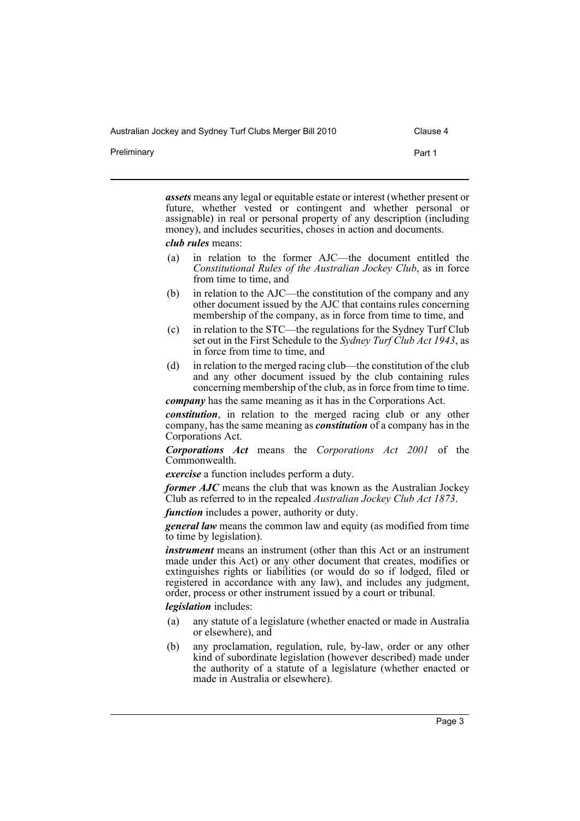Australian Jockey and Sydney Turf Clubs Merger Bill 2010 Clause 4

Preliminary **Preliminary Part 1** 

*assets* means any legal or equitable estate or interest (whether present or future, whether vested or contingent and whether personal or assignable) in real or personal property of any description (including money), and includes securities, choses in action and documents.

#### *club rules* means:

- (a) in relation to the former AJC—the document entitled the *Constitutional Rules of the Australian Jockey Club*, as in force from time to time, and
- (b) in relation to the AJC—the constitution of the company and any other document issued by the AJC that contains rules concerning membership of the company, as in force from time to time, and
- (c) in relation to the STC—the regulations for the Sydney Turf Club set out in the First Schedule to the *Sydney Turf Club Act 1943*, as in force from time to time, and
- (d) in relation to the merged racing club—the constitution of the club and any other document issued by the club containing rules concerning membership of the club, as in force from time to time.

*company* has the same meaning as it has in the Corporations Act.

*constitution*, in relation to the merged racing club or any other company, has the same meaning as *constitution* of a company has in the Corporations Act.

*Corporations Act* means the *Corporations Act 2001* of the Commonwealth.

*exercise* a function includes perform a duty.

*former AJC* means the club that was known as the Australian Jockey Club as referred to in the repealed *Australian Jockey Club Act 1873*.

*function* includes a power, authority or duty.

*general law* means the common law and equity (as modified from time to time by legislation).

*instrument* means an instrument (other than this Act or an instrument made under this Act) or any other document that creates, modifies or extinguishes rights or liabilities (or would do so if lodged, filed or registered in accordance with any law), and includes any judgment, order, process or other instrument issued by a court or tribunal.

*legislation* includes:

- (a) any statute of a legislature (whether enacted or made in Australia or elsewhere), and
- (b) any proclamation, regulation, rule, by-law, order or any other kind of subordinate legislation (however described) made under the authority of a statute of a legislature (whether enacted or made in Australia or elsewhere).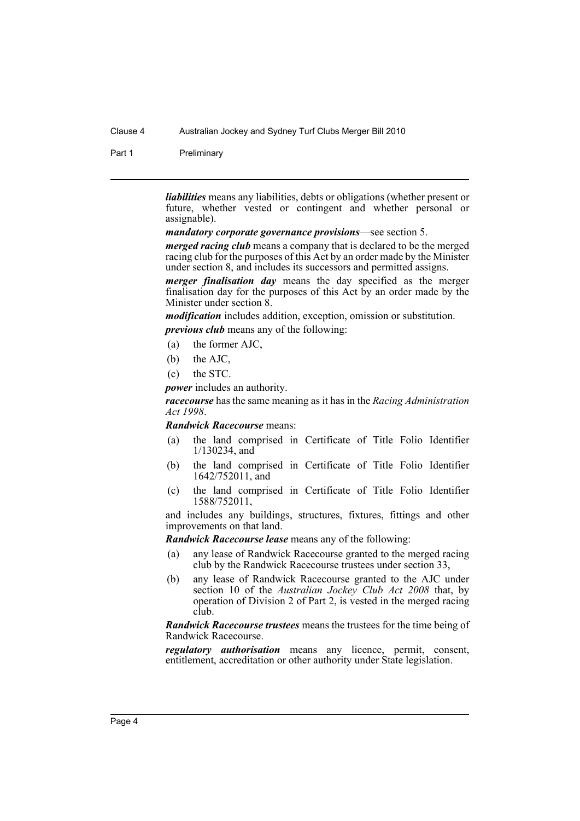Part 1 Preliminary

*liabilities* means any liabilities, debts or obligations (whether present or future, whether vested or contingent and whether personal or assignable).

*mandatory corporate governance provisions*—see section 5.

*merged racing club* means a company that is declared to be the merged racing club for the purposes of this Act by an order made by the Minister under section 8, and includes its successors and permitted assigns.

*merger finalisation day* means the day specified as the merger finalisation day for the purposes of this Act by an order made by the Minister under section 8.

*modification* includes addition, exception, omission or substitution.

*previous club* means any of the following:

- (a) the former AJC,
- (b) the AJC,
- (c) the STC.

*power* includes an authority.

*racecourse* has the same meaning as it has in the *Racing Administration Act 1998*.

*Randwick Racecourse* means:

- (a) the land comprised in Certificate of Title Folio Identifier 1/130234, and
- (b) the land comprised in Certificate of Title Folio Identifier 1642/752011, and
- (c) the land comprised in Certificate of Title Folio Identifier 1588/752011,

and includes any buildings, structures, fixtures, fittings and other improvements on that land.

*Randwick Racecourse lease* means any of the following:

- (a) any lease of Randwick Racecourse granted to the merged racing club by the Randwick Racecourse trustees under section 33,
- (b) any lease of Randwick Racecourse granted to the AJC under section 10 of the *Australian Jockey Club Act 2008* that, by operation of Division 2 of Part 2, is vested in the merged racing club.

*Randwick Racecourse trustees* means the trustees for the time being of Randwick Racecourse.

*regulatory authorisation* means any licence, permit, consent, entitlement, accreditation or other authority under State legislation.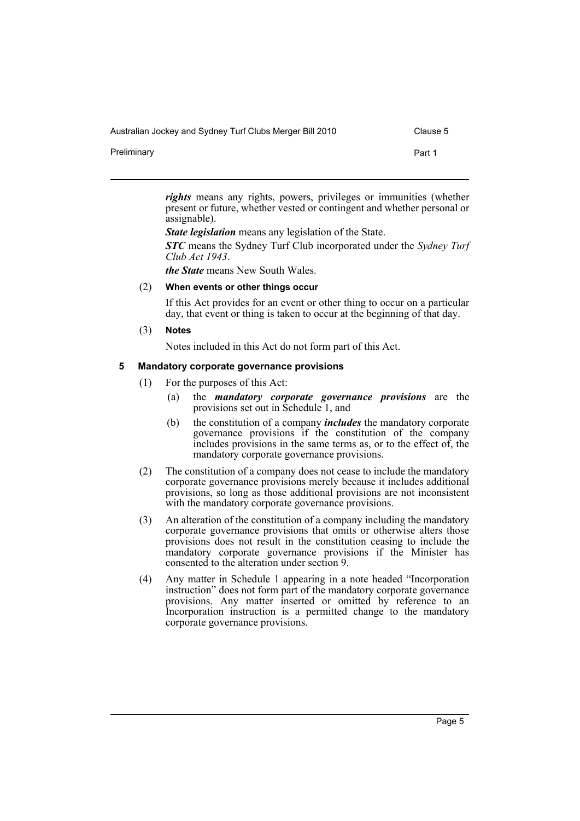| Australian Jockey and Sydney Turf Clubs Merger Bill 2010 | Clause 5 |
|----------------------------------------------------------|----------|
| Preliminary                                              | Part 1   |

*rights* means any rights, powers, privileges or immunities (whether present or future, whether vested or contingent and whether personal or assignable).

*State legislation* means any legislation of the State.

*STC* means the Sydney Turf Club incorporated under the *Sydney Turf Club Act 1943*.

*the State* means New South Wales.

# (2) **When events or other things occur**

If this Act provides for an event or other thing to occur on a particular day, that event or thing is taken to occur at the beginning of that day.

### (3) **Notes**

Notes included in this Act do not form part of this Act.

# <span id="page-8-0"></span>**5 Mandatory corporate governance provisions**

- (1) For the purposes of this Act:
	- (a) the *mandatory corporate governance provisions* are the provisions set out in Schedule 1, and
	- (b) the constitution of a company *includes* the mandatory corporate governance provisions if the constitution of the company includes provisions in the same terms as, or to the effect of, the mandatory corporate governance provisions.
- (2) The constitution of a company does not cease to include the mandatory corporate governance provisions merely because it includes additional provisions, so long as those additional provisions are not inconsistent with the mandatory corporate governance provisions.
- (3) An alteration of the constitution of a company including the mandatory corporate governance provisions that omits or otherwise alters those provisions does not result in the constitution ceasing to include the mandatory corporate governance provisions if the Minister has consented to the alteration under section 9.
- (4) Any matter in Schedule 1 appearing in a note headed "Incorporation instruction" does not form part of the mandatory corporate governance provisions. Any matter inserted or omitted by reference to an Incorporation instruction is a permitted change to the mandatory corporate governance provisions.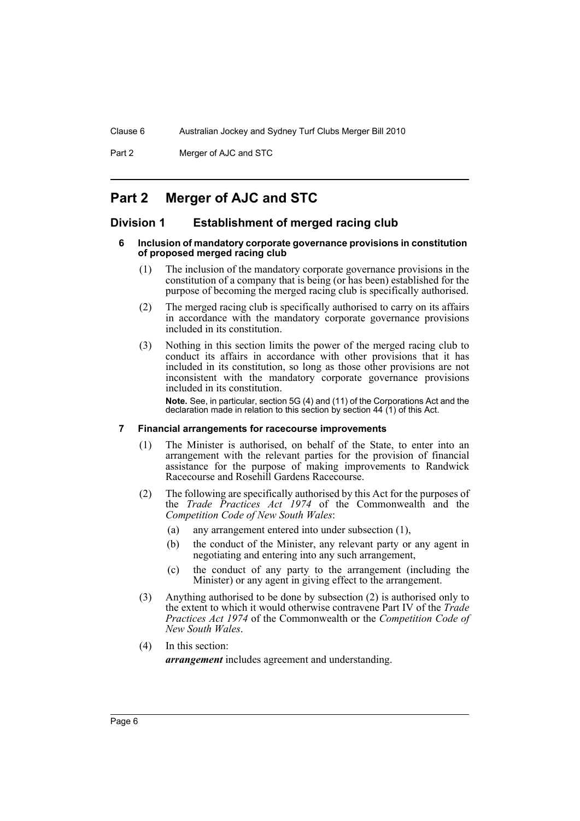Part 2 Merger of AJC and STC

# <span id="page-9-0"></span>**Part 2 Merger of AJC and STC**

### <span id="page-9-2"></span><span id="page-9-1"></span>**Division 1 Establishment of merged racing club**

#### **6 Inclusion of mandatory corporate governance provisions in constitution of proposed merged racing club**

- (1) The inclusion of the mandatory corporate governance provisions in the constitution of a company that is being (or has been) established for the purpose of becoming the merged racing club is specifically authorised.
- (2) The merged racing club is specifically authorised to carry on its affairs in accordance with the mandatory corporate governance provisions included in its constitution.
- (3) Nothing in this section limits the power of the merged racing club to conduct its affairs in accordance with other provisions that it has included in its constitution, so long as those other provisions are not inconsistent with the mandatory corporate governance provisions included in its constitution.

**Note.** See, in particular, section 5G (4) and (11) of the Corporations Act and the declaration made in relation to this section by section 44 (1) of this Act.

#### <span id="page-9-3"></span>**7 Financial arrangements for racecourse improvements**

- (1) The Minister is authorised, on behalf of the State, to enter into an arrangement with the relevant parties for the provision of financial assistance for the purpose of making improvements to Randwick Racecourse and Rosehill Gardens Racecourse.
- (2) The following are specifically authorised by this Act for the purposes of the *Trade Practices Act 1974* of the Commonwealth and the *Competition Code of New South Wales*:
	- (a) any arrangement entered into under subsection (1),
	- (b) the conduct of the Minister, any relevant party or any agent in negotiating and entering into any such arrangement,
	- (c) the conduct of any party to the arrangement (including the Minister) or any agent in giving effect to the arrangement.
- (3) Anything authorised to be done by subsection (2) is authorised only to the extent to which it would otherwise contravene Part IV of the *Trade Practices Act 1974* of the Commonwealth or the *Competition Code of New South Wales*.
- (4) In this section: *arrangement* includes agreement and understanding.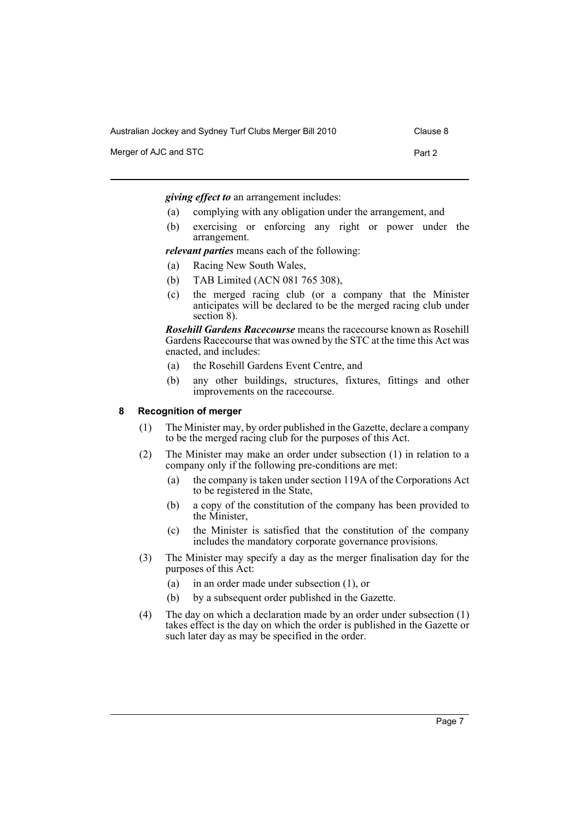Australian Jockey and Sydney Turf Clubs Merger Bill 2010 Clause 8

Merger of AJC and STC **Part 2** 

*giving effect to* an arrangement includes:

- (a) complying with any obligation under the arrangement, and
- (b) exercising or enforcing any right or power under the arrangement.

*relevant parties* means each of the following:

- (a) Racing New South Wales,
- (b) TAB Limited (ACN 081 765 308),
- (c) the merged racing club (or a company that the Minister anticipates will be declared to be the merged racing club under section 8).

*Rosehill Gardens Racecourse* means the racecourse known as Rosehill Gardens Racecourse that was owned by the STC at the time this Act was enacted, and includes:

- (a) the Rosehill Gardens Event Centre, and
- (b) any other buildings, structures, fixtures, fittings and other improvements on the racecourse.

# <span id="page-10-0"></span>**8 Recognition of merger**

- (1) The Minister may, by order published in the Gazette, declare a company to be the merged racing club for the purposes of this Act.
- (2) The Minister may make an order under subsection (1) in relation to a company only if the following pre-conditions are met:
	- (a) the company is taken under section 119A of the Corporations Act to be registered in the State,
	- (b) a copy of the constitution of the company has been provided to the Minister,
	- (c) the Minister is satisfied that the constitution of the company includes the mandatory corporate governance provisions.
- (3) The Minister may specify a day as the merger finalisation day for the purposes of this Act:
	- (a) in an order made under subsection (1), or
	- (b) by a subsequent order published in the Gazette.
- (4) The day on which a declaration made by an order under subsection (1) takes effect is the day on which the order is published in the Gazette or such later day as may be specified in the order.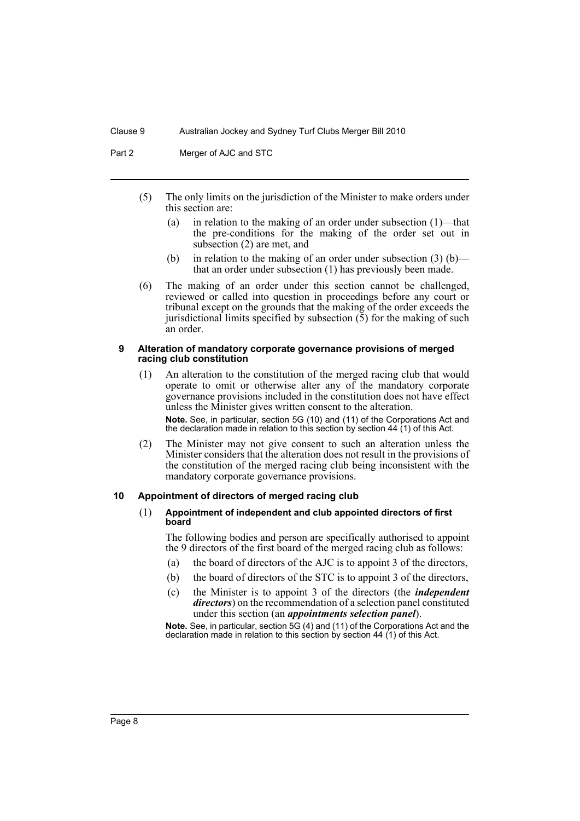Part 2 Merger of AJC and STC

- (5) The only limits on the jurisdiction of the Minister to make orders under this section are:
	- (a) in relation to the making of an order under subsection (1)—that the pre-conditions for the making of the order set out in subsection (2) are met, and
	- (b) in relation to the making of an order under subsection  $(3)$  (b) that an order under subsection (1) has previously been made.
- (6) The making of an order under this section cannot be challenged, reviewed or called into question in proceedings before any court or tribunal except on the grounds that the making of the order exceeds the jurisdictional limits specified by subsection  $(5)$  for the making of such an order.

#### <span id="page-11-0"></span>**9 Alteration of mandatory corporate governance provisions of merged racing club constitution**

- (1) An alteration to the constitution of the merged racing club that would operate to omit or otherwise alter any of the mandatory corporate governance provisions included in the constitution does not have effect unless the Minister gives written consent to the alteration. **Note.** See, in particular, section 5G (10) and (11) of the Corporations Act and the declaration made in relation to this section by section 44 (1) of this Act.
- (2) The Minister may not give consent to such an alteration unless the Minister considers that the alteration does not result in the provisions of the constitution of the merged racing club being inconsistent with the mandatory corporate governance provisions.

#### <span id="page-11-1"></span>**10 Appointment of directors of merged racing club**

(1) **Appointment of independent and club appointed directors of first board**

The following bodies and person are specifically authorised to appoint the 9 directors of the first board of the merged racing club as follows:

- (a) the board of directors of the AJC is to appoint 3 of the directors,
- (b) the board of directors of the STC is to appoint 3 of the directors,
- (c) the Minister is to appoint 3 of the directors (the *independent directors*) on the recommendation of a selection panel constituted under this section (an *appointments selection panel*).

**Note.** See, in particular, section 5G (4) and (11) of the Corporations Act and the declaration made in relation to this section by section 44 (1) of this Act.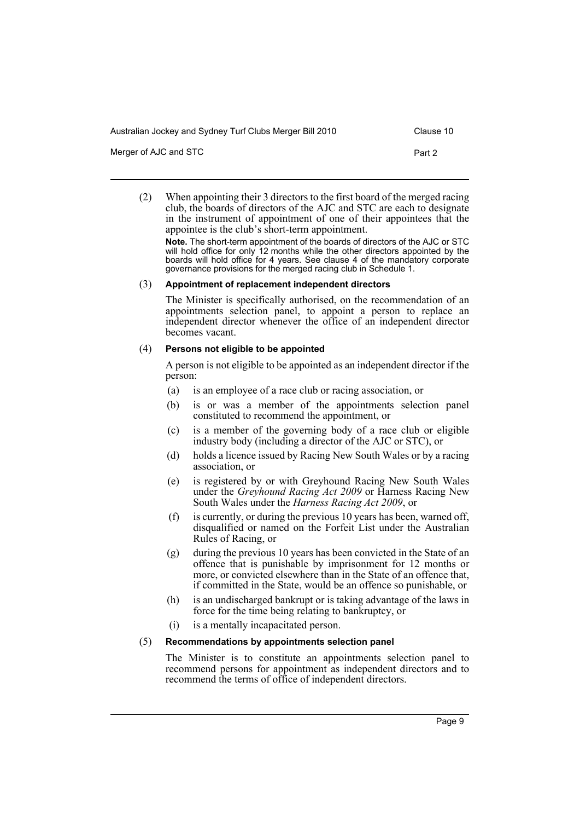Australian Jockey and Sydney Turf Clubs Merger Bill 2010 Clause 10

Merger of AJC and STC **Part 2** 

(2) When appointing their 3 directors to the first board of the merged racing club, the boards of directors of the AJC and STC are each to designate in the instrument of appointment of one of their appointees that the appointee is the club's short-term appointment.

**Note.** The short-term appointment of the boards of directors of the AJC or STC will hold office for only 12 months while the other directors appointed by the boards will hold office for 4 years. See clause 4 of the mandatory corporate governance provisions for the merged racing club in Schedule 1.

#### (3) **Appointment of replacement independent directors**

The Minister is specifically authorised, on the recommendation of an appointments selection panel, to appoint a person to replace an independent director whenever the office of an independent director becomes vacant.

#### (4) **Persons not eligible to be appointed**

A person is not eligible to be appointed as an independent director if the person:

- (a) is an employee of a race club or racing association, or
- (b) is or was a member of the appointments selection panel constituted to recommend the appointment, or
- (c) is a member of the governing body of a race club or eligible industry body (including a director of the AJC or STC), or
- (d) holds a licence issued by Racing New South Wales or by a racing association, or
- (e) is registered by or with Greyhound Racing New South Wales under the *Greyhound Racing Act 2009* or Harness Racing New South Wales under the *Harness Racing Act 2009*, or
- (f) is currently, or during the previous 10 years has been, warned off, disqualified or named on the Forfeit List under the Australian Rules of Racing, or
- (g) during the previous 10 years has been convicted in the State of an offence that is punishable by imprisonment for 12 months or more, or convicted elsewhere than in the State of an offence that, if committed in the State, would be an offence so punishable, or
- (h) is an undischarged bankrupt or is taking advantage of the laws in force for the time being relating to bankruptcy, or
- (i) is a mentally incapacitated person.

#### (5) **Recommendations by appointments selection panel**

The Minister is to constitute an appointments selection panel to recommend persons for appointment as independent directors and to recommend the terms of office of independent directors.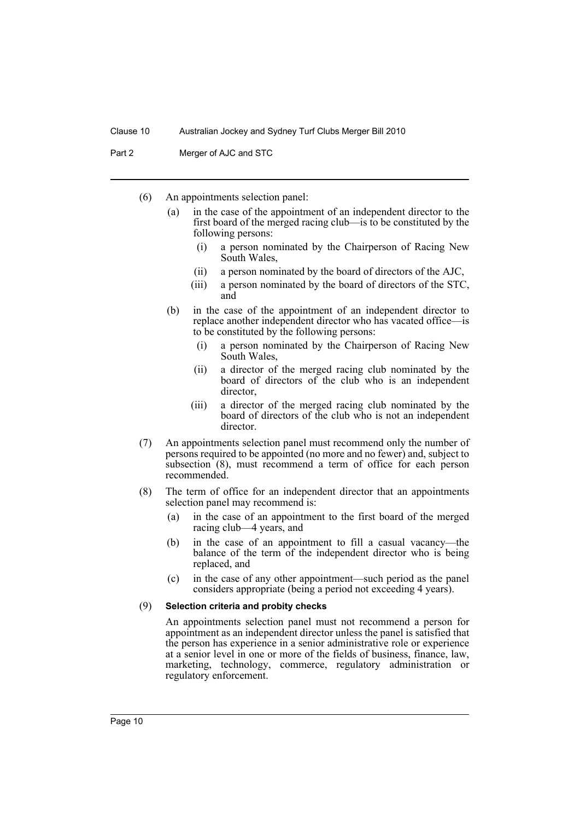Part 2 Merger of AJC and STC

- (6) An appointments selection panel:
	- (a) in the case of the appointment of an independent director to the first board of the merged racing club—is to be constituted by the following persons:
		- (i) a person nominated by the Chairperson of Racing New South Wales,
		- (ii) a person nominated by the board of directors of the AJC,
		- (iii) a person nominated by the board of directors of the STC, and
	- (b) in the case of the appointment of an independent director to replace another independent director who has vacated office—is to be constituted by the following persons:
		- (i) a person nominated by the Chairperson of Racing New South Wales,
		- (ii) a director of the merged racing club nominated by the board of directors of the club who is an independent director,
		- (iii) a director of the merged racing club nominated by the board of directors of the club who is not an independent director.
- (7) An appointments selection panel must recommend only the number of persons required to be appointed (no more and no fewer) and, subject to subsection (8), must recommend a term of office for each person recommended.
- (8) The term of office for an independent director that an appointments selection panel may recommend is:
	- (a) in the case of an appointment to the first board of the merged racing club—4 years, and
	- (b) in the case of an appointment to fill a casual vacancy—the balance of the term of the independent director who is being replaced, and
	- (c) in the case of any other appointment—such period as the panel considers appropriate (being a period not exceeding 4 years).

#### (9) **Selection criteria and probity checks**

An appointments selection panel must not recommend a person for appointment as an independent director unless the panel is satisfied that the person has experience in a senior administrative role or experience at a senior level in one or more of the fields of business, finance, law, marketing, technology, commerce, regulatory administration or regulatory enforcement.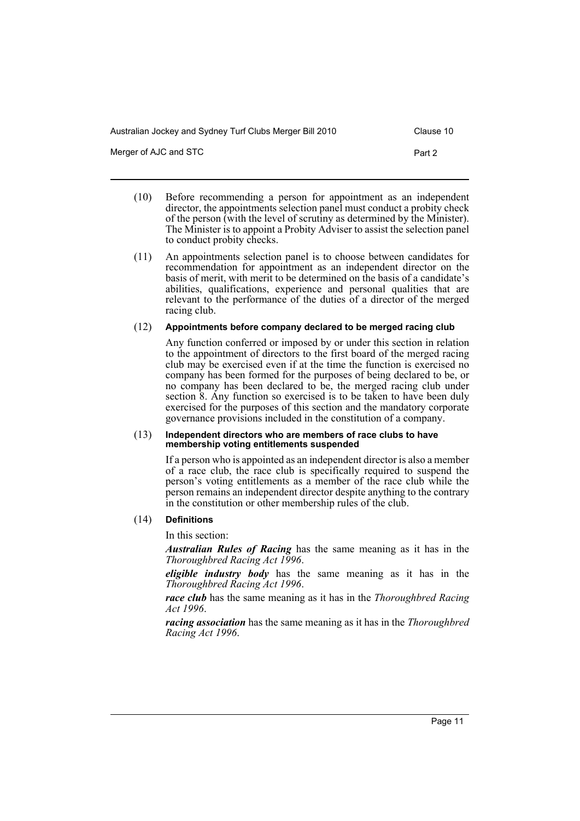Australian Jockey and Sydney Turf Clubs Merger Bill 2010 Clause 10

Merger of AJC and STC **Part 2** 

- (10) Before recommending a person for appointment as an independent director, the appointments selection panel must conduct a probity check of the person (with the level of scrutiny as determined by the Minister). The Minister is to appoint a Probity Adviser to assist the selection panel to conduct probity checks.
- (11) An appointments selection panel is to choose between candidates for recommendation for appointment as an independent director on the basis of merit, with merit to be determined on the basis of a candidate's abilities, qualifications, experience and personal qualities that are relevant to the performance of the duties of a director of the merged racing club.

#### (12) **Appointments before company declared to be merged racing club**

Any function conferred or imposed by or under this section in relation to the appointment of directors to the first board of the merged racing club may be exercised even if at the time the function is exercised no company has been formed for the purposes of being declared to be, or no company has been declared to be, the merged racing club under section 8. Any function so exercised is to be taken to have been duly exercised for the purposes of this section and the mandatory corporate governance provisions included in the constitution of a company.

#### (13) **Independent directors who are members of race clubs to have membership voting entitlements suspended**

If a person who is appointed as an independent director is also a member of a race club, the race club is specifically required to suspend the person's voting entitlements as a member of the race club while the person remains an independent director despite anything to the contrary in the constitution or other membership rules of the club.

#### (14) **Definitions**

In this section:

*Australian Rules of Racing* has the same meaning as it has in the *Thoroughbred Racing Act 1996*.

*eligible industry body* has the same meaning as it has in the *Thoroughbred Racing Act 1996*.

*race club* has the same meaning as it has in the *Thoroughbred Racing Act 1996*.

*racing association* has the same meaning as it has in the *Thoroughbred Racing Act 1996*.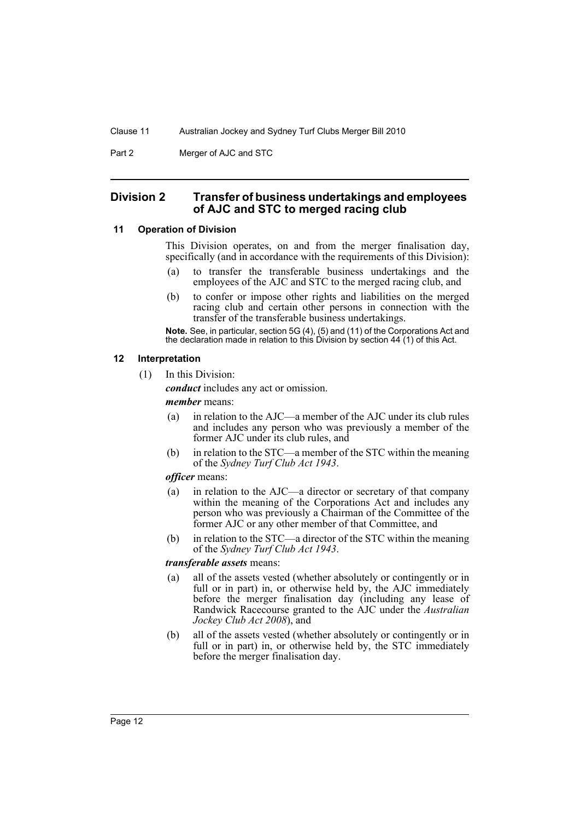Part 2 Merger of AJC and STC

# <span id="page-15-0"></span>**Division 2 Transfer of business undertakings and employees of AJC and STC to merged racing club**

#### <span id="page-15-1"></span>**11 Operation of Division**

This Division operates, on and from the merger finalisation day, specifically (and in accordance with the requirements of this Division):

- (a) to transfer the transferable business undertakings and the employees of the AJC and STC to the merged racing club, and
- (b) to confer or impose other rights and liabilities on the merged racing club and certain other persons in connection with the transfer of the transferable business undertakings.

**Note.** See, in particular, section 5G (4), (5) and (11) of the Corporations Act and the declaration made in relation to this Division by section 44 (1) of this Act.

#### <span id="page-15-2"></span>**12 Interpretation**

(1) In this Division:

*conduct* includes any act or omission.

*member* means:

- (a) in relation to the AJC—a member of the AJC under its club rules and includes any person who was previously a member of the former AJC under its club rules, and
- (b) in relation to the STC—a member of the STC within the meaning of the *Sydney Turf Club Act 1943*.

# *officer* means:

- (a) in relation to the AJC—a director or secretary of that company within the meaning of the Corporations Act and includes any person who was previously a Chairman of the Committee of the former AJC or any other member of that Committee, and
- (b) in relation to the STC—a director of the STC within the meaning of the *Sydney Turf Club Act 1943*.

#### *transferable assets* means:

- (a) all of the assets vested (whether absolutely or contingently or in full or in part) in, or otherwise held by, the AJC immediately before the merger finalisation day (including any lease of Randwick Racecourse granted to the AJC under the *Australian Jockey Club Act 2008*), and
- (b) all of the assets vested (whether absolutely or contingently or in full or in part) in, or otherwise held by, the STC immediately before the merger finalisation day.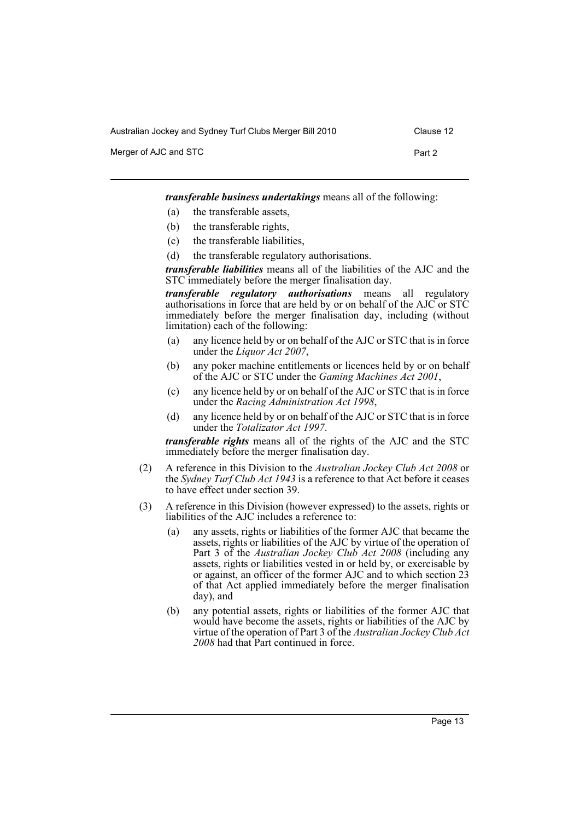Australian Jockey and Sydney Turf Clubs Merger Bill 2010 Clause 12

Merger of AJC and STC **Part 2** 

*transferable business undertakings* means all of the following:

- (a) the transferable assets,
- (b) the transferable rights,
- (c) the transferable liabilities,
- (d) the transferable regulatory authorisations.

*transferable liabilities* means all of the liabilities of the AJC and the STC immediately before the merger finalisation day.

*transferable regulatory authorisations* means all regulatory authorisations in force that are held by or on behalf of the AJC or STC immediately before the merger finalisation day, including (without limitation) each of the following:

- (a) any licence held by or on behalf of the AJC or STC that is in force under the *Liquor Act 2007*,
- (b) any poker machine entitlements or licences held by or on behalf of the AJC or STC under the *Gaming Machines Act 2001*,
- (c) any licence held by or on behalf of the AJC or STC that is in force under the *Racing Administration Act 1998*,
- (d) any licence held by or on behalf of the AJC or STC that is in force under the *Totalizator Act 1997*.

*transferable rights* means all of the rights of the AJC and the STC immediately before the merger finalisation day.

- (2) A reference in this Division to the *Australian Jockey Club Act 2008* or the *Sydney Turf Club Act 1943* is a reference to that Act before it ceases to have effect under section 39.
- (3) A reference in this Division (however expressed) to the assets, rights or liabilities of the AJC includes a reference to:
	- (a) any assets, rights or liabilities of the former AJC that became the assets, rights or liabilities of the AJC by virtue of the operation of Part 3 of the *Australian Jockey Club Act 2008* (including any assets, rights or liabilities vested in or held by, or exercisable by or against, an officer of the former AJC and to which section 23 of that Act applied immediately before the merger finalisation day), and
	- (b) any potential assets, rights or liabilities of the former AJC that would have become the assets, rights or liabilities of the AJC by virtue of the operation of Part 3 of the *Australian Jockey Club Act 2008* had that Part continued in force.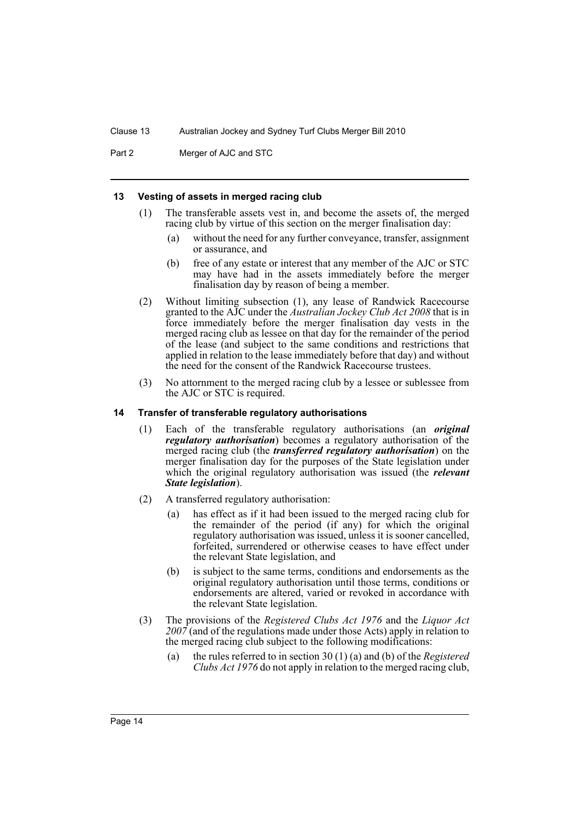Part 2 Merger of AJC and STC

#### <span id="page-17-0"></span>**13 Vesting of assets in merged racing club**

- (1) The transferable assets vest in, and become the assets of, the merged racing club by virtue of this section on the merger finalisation day:
	- (a) without the need for any further conveyance, transfer, assignment or assurance, and
	- (b) free of any estate or interest that any member of the AJC or STC may have had in the assets immediately before the merger finalisation day by reason of being a member.
- (2) Without limiting subsection (1), any lease of Randwick Racecourse granted to the AJC under the *Australian Jockey Club Act 2008* that is in force immediately before the merger finalisation day vests in the merged racing club as lessee on that day for the remainder of the period of the lease (and subject to the same conditions and restrictions that applied in relation to the lease immediately before that day) and without the need for the consent of the Randwick Racecourse trustees.
- (3) No attornment to the merged racing club by a lessee or sublessee from the AJC or STC is required.

#### <span id="page-17-1"></span>**14 Transfer of transferable regulatory authorisations**

- (1) Each of the transferable regulatory authorisations (an *original regulatory authorisation*) becomes a regulatory authorisation of the merged racing club (the *transferred regulatory authorisation*) on the merger finalisation day for the purposes of the State legislation under which the original regulatory authorisation was issued (the *relevant State legislation*).
- (2) A transferred regulatory authorisation:
	- (a) has effect as if it had been issued to the merged racing club for the remainder of the period (if any) for which the original regulatory authorisation was issued, unless it is sooner cancelled, forfeited, surrendered or otherwise ceases to have effect under the relevant State legislation, and
	- (b) is subject to the same terms, conditions and endorsements as the original regulatory authorisation until those terms, conditions or endorsements are altered, varied or revoked in accordance with the relevant State legislation.
- (3) The provisions of the *Registered Clubs Act 1976* and the *Liquor Act 2007* (and of the regulations made under those Acts) apply in relation to the merged racing club subject to the following modifications:
	- (a) the rules referred to in section 30 (1) (a) and (b) of the *Registered Clubs Act 1976* do not apply in relation to the merged racing club,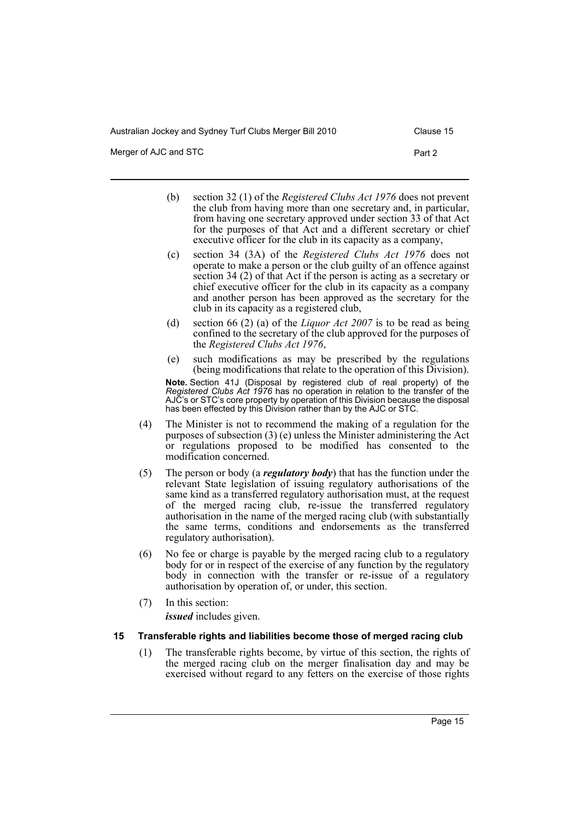Australian Jockey and Sydney Turf Clubs Merger Bill 2010 Clause 15

Merger of AJC and STC **Part 2** 

- (b) section 32 (1) of the *Registered Clubs Act 1976* does not prevent the club from having more than one secretary and, in particular, from having one secretary approved under section 33 of that Act for the purposes of that Act and a different secretary or chief executive officer for the club in its capacity as a company,
- (c) section 34 (3A) of the *Registered Clubs Act 1976* does not operate to make a person or the club guilty of an offence against section 34 (2) of that Act if the person is acting as a secretary or chief executive officer for the club in its capacity as a company and another person has been approved as the secretary for the club in its capacity as a registered club,
- (d) section 66 (2) (a) of the *Liquor Act 2007* is to be read as being confined to the secretary of the club approved for the purposes of the *Registered Clubs Act 1976*,
- (e) such modifications as may be prescribed by the regulations (being modifications that relate to the operation of this Division). **Note.** Section 41J (Disposal by registered club of real property) of the *Registered Clubs Act 1976* has no operation in relation to the transfer of the AJC's or STC's core property by operation of this Division because the disposal has been effected by this Division rather than by the AJC or STC.
- (4) The Minister is not to recommend the making of a regulation for the purposes of subsection (3) (e) unless the Minister administering the Act or regulations proposed to be modified has consented to the modification concerned.
- (5) The person or body (a *regulatory body*) that has the function under the relevant State legislation of issuing regulatory authorisations of the same kind as a transferred regulatory authorisation must, at the request of the merged racing club, re-issue the transferred regulatory authorisation in the name of the merged racing club (with substantially the same terms, conditions and endorsements as the transferred regulatory authorisation).
- (6) No fee or charge is payable by the merged racing club to a regulatory body for or in respect of the exercise of any function by the regulatory body in connection with the transfer or re-issue of a regulatory authorisation by operation of, or under, this section.
- (7) In this section: *issued* includes given.
- <span id="page-18-0"></span>**15 Transferable rights and liabilities become those of merged racing club**
	- (1) The transferable rights become, by virtue of this section, the rights of the merged racing club on the merger finalisation day and may be exercised without regard to any fetters on the exercise of those rights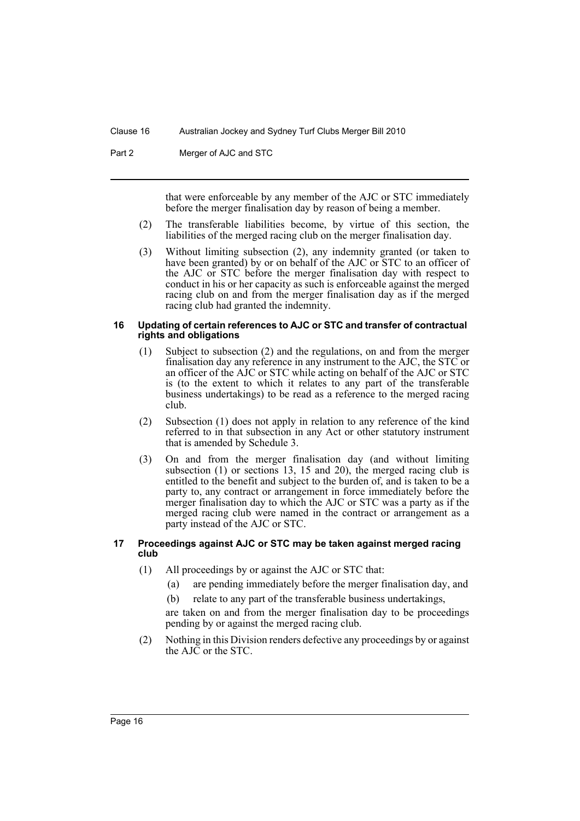Part 2 Merger of AJC and STC

that were enforceable by any member of the AJC or STC immediately before the merger finalisation day by reason of being a member.

- (2) The transferable liabilities become, by virtue of this section, the liabilities of the merged racing club on the merger finalisation day.
- (3) Without limiting subsection (2), any indemnity granted (or taken to have been granted) by or on behalf of the AJC or STC to an officer of the AJC or STC before the merger finalisation day with respect to conduct in his or her capacity as such is enforceable against the merged racing club on and from the merger finalisation day as if the merged racing club had granted the indemnity.

#### <span id="page-19-0"></span>**16 Updating of certain references to AJC or STC and transfer of contractual rights and obligations**

- (1) Subject to subsection (2) and the regulations, on and from the merger finalisation day any reference in any instrument to the AJC, the STC or an officer of the AJC or STC while acting on behalf of the AJC or STC is (to the extent to which it relates to any part of the transferable business undertakings) to be read as a reference to the merged racing club.
- (2) Subsection (1) does not apply in relation to any reference of the kind referred to in that subsection in any Act or other statutory instrument that is amended by Schedule 3.
- (3) On and from the merger finalisation day (and without limiting subsection (1) or sections 13, 15 and 20), the merged racing club is entitled to the benefit and subject to the burden of, and is taken to be a party to, any contract or arrangement in force immediately before the merger finalisation day to which the AJC or STC was a party as if the merged racing club were named in the contract or arrangement as a party instead of the AJC or STC.

#### <span id="page-19-1"></span>**17 Proceedings against AJC or STC may be taken against merged racing club**

- (1) All proceedings by or against the AJC or STC that:
	- (a) are pending immediately before the merger finalisation day, and
	- (b) relate to any part of the transferable business undertakings,

are taken on and from the merger finalisation day to be proceedings pending by or against the merged racing club.

(2) Nothing in this Division renders defective any proceedings by or against the AJC or the STC.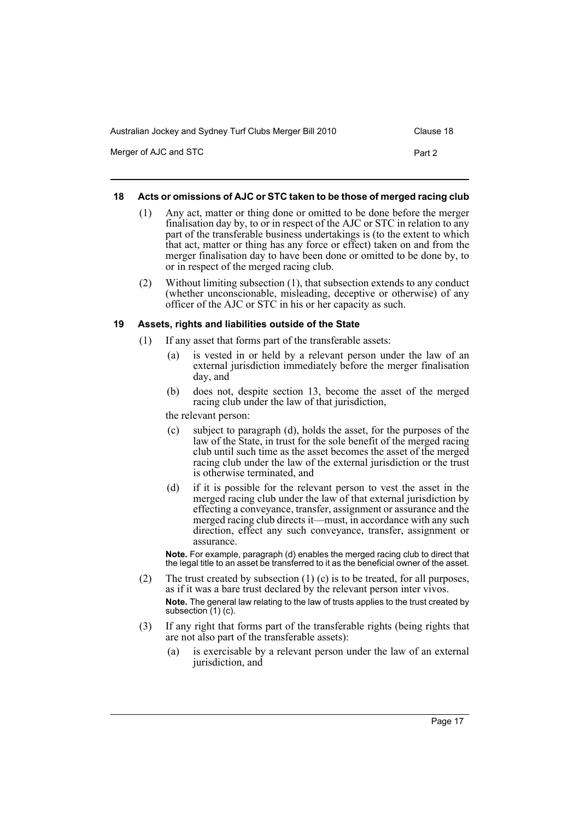| Australian Jockey and Sydney Turf Clubs Merger Bill 2010 | Clause 18 |
|----------------------------------------------------------|-----------|
| Merger of AJC and STC                                    | Part 2    |

### <span id="page-20-0"></span>**18 Acts or omissions of AJC or STC taken to be those of merged racing club**

- (1) Any act, matter or thing done or omitted to be done before the merger finalisation day by, to or in respect of the AJC or STC in relation to any part of the transferable business undertakings is (to the extent to which that act, matter or thing has any force or effect) taken on and from the merger finalisation day to have been done or omitted to be done by, to or in respect of the merged racing club.
- (2) Without limiting subsection (1), that subsection extends to any conduct (whether unconscionable, misleading, deceptive or otherwise) of any officer of the AJC or STC in his or her capacity as such.

### <span id="page-20-1"></span>**19 Assets, rights and liabilities outside of the State**

- (1) If any asset that forms part of the transferable assets:
	- (a) is vested in or held by a relevant person under the law of an external jurisdiction immediately before the merger finalisation day, and
	- (b) does not, despite section 13, become the asset of the merged racing club under the law of that jurisdiction,

the relevant person:

- (c) subject to paragraph (d), holds the asset, for the purposes of the law of the State, in trust for the sole benefit of the merged racing club until such time as the asset becomes the asset of the merged racing club under the law of the external jurisdiction or the trust is otherwise terminated, and
- (d) if it is possible for the relevant person to vest the asset in the merged racing club under the law of that external jurisdiction by effecting a conveyance, transfer, assignment or assurance and the merged racing club directs it—must, in accordance with any such direction, effect any such conveyance, transfer, assignment or assurance.

**Note.** For example, paragraph (d) enables the merged racing club to direct that the legal title to an asset be transferred to it as the beneficial owner of the asset.

- (2) The trust created by subsection (1) (c) is to be treated, for all purposes, as if it was a bare trust declared by the relevant person inter vivos. **Note.** The general law relating to the law of trusts applies to the trust created by subsection (1) (c).
- (3) If any right that forms part of the transferable rights (being rights that are not also part of the transferable assets):
	- (a) is exercisable by a relevant person under the law of an external jurisdiction, and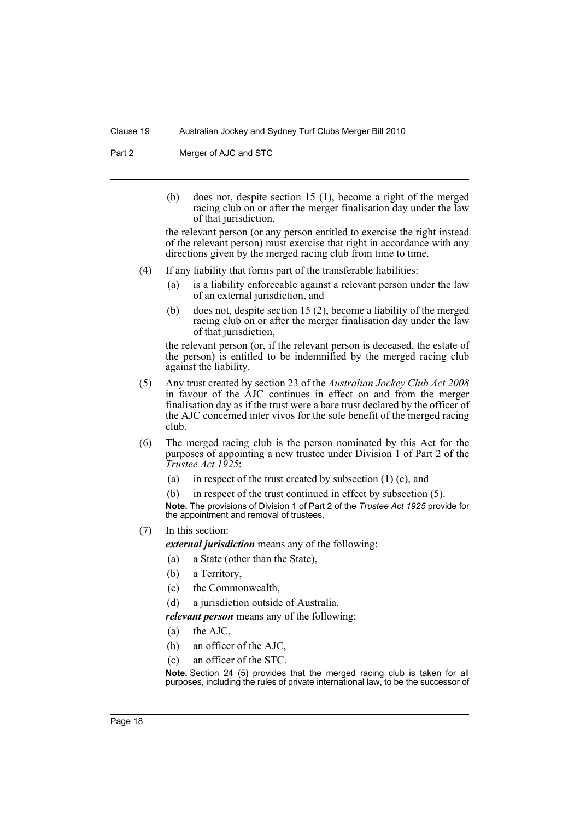Part 2 Merger of AJC and STC

(b) does not, despite section 15 (1), become a right of the merged racing club on or after the merger finalisation day under the law of that jurisdiction,

the relevant person (or any person entitled to exercise the right instead of the relevant person) must exercise that right in accordance with any directions given by the merged racing club from time to time.

- (4) If any liability that forms part of the transferable liabilities:
	- (a) is a liability enforceable against a relevant person under the law of an external jurisdiction, and
	- (b) does not, despite section 15 (2), become a liability of the merged racing club on or after the merger finalisation day under the law of that jurisdiction,

the relevant person (or, if the relevant person is deceased, the estate of the person) is entitled to be indemnified by the merged racing club against the liability.

- (5) Any trust created by section 23 of the *Australian Jockey Club Act 2008* in favour of the AJC continues in effect on and from the merger finalisation day as if the trust were a bare trust declared by the officer of the AJC concerned inter vivos for the sole benefit of the merged racing club.
- (6) The merged racing club is the person nominated by this Act for the purposes of appointing a new trustee under Division 1 of Part 2 of the *Trustee Act 1925*:
	- (a) in respect of the trust created by subsection  $(1)$  (c), and
	- (b) in respect of the trust continued in effect by subsection (5).

**Note.** The provisions of Division 1 of Part 2 of the *Trustee Act 1925* provide for the appointment and removal of trustees.

(7) In this section:

*external jurisdiction* means any of the following:

- (a) a State (other than the State),
- (b) a Territory,
- (c) the Commonwealth,
- (d) a jurisdiction outside of Australia.

*relevant person* means any of the following:

- (a) the AJC,
- (b) an officer of the AJC,
- (c) an officer of the STC.

**Note.** Section 24 (5) provides that the merged racing club is taken for all purposes, including the rules of private international law, to be the successor of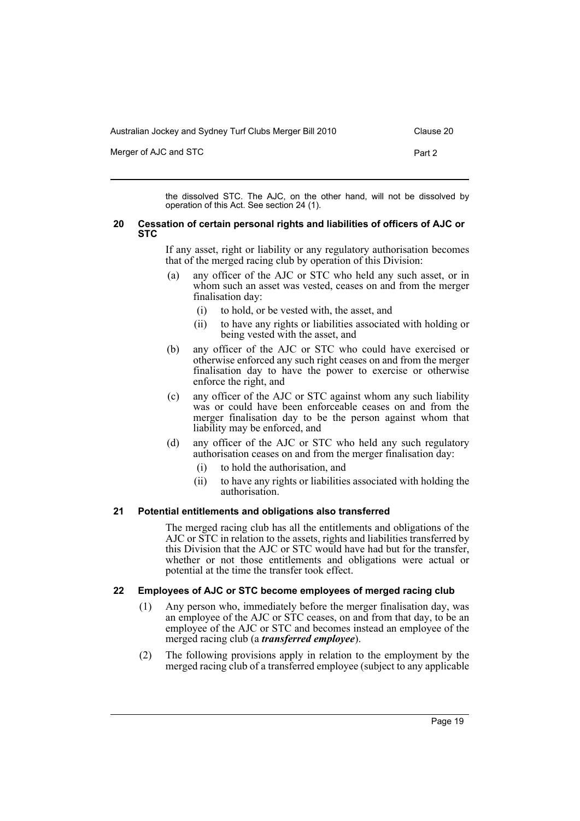| Australian Jockey and Sydney Turf Clubs Merger Bill 2010 | Clause 20 |
|----------------------------------------------------------|-----------|
| Merger of AJC and STC                                    | Part 2    |

the dissolved STC. The AJC, on the other hand, will not be dissolved by operation of this Act. See section 24 (1).

#### <span id="page-22-0"></span>**20 Cessation of certain personal rights and liabilities of officers of AJC or STC**

If any asset, right or liability or any regulatory authorisation becomes that of the merged racing club by operation of this Division:

- (a) any officer of the AJC or STC who held any such asset, or in whom such an asset was vested, ceases on and from the merger finalisation day:
	- (i) to hold, or be vested with, the asset, and
	- (ii) to have any rights or liabilities associated with holding or being vested with the asset, and
- (b) any officer of the AJC or STC who could have exercised or otherwise enforced any such right ceases on and from the merger finalisation day to have the power to exercise or otherwise enforce the right, and
- (c) any officer of the AJC or STC against whom any such liability was or could have been enforceable ceases on and from the merger finalisation day to be the person against whom that liability may be enforced, and
- (d) any officer of the AJC or STC who held any such regulatory authorisation ceases on and from the merger finalisation day:
	- (i) to hold the authorisation, and
	- (ii) to have any rights or liabilities associated with holding the authorisation.

# <span id="page-22-1"></span>**21 Potential entitlements and obligations also transferred**

The merged racing club has all the entitlements and obligations of the AJC or STC in relation to the assets, rights and liabilities transferred by this Division that the AJC or STC would have had but for the transfer, whether or not those entitlements and obligations were actual or potential at the time the transfer took effect.

# <span id="page-22-2"></span>**22 Employees of AJC or STC become employees of merged racing club**

- (1) Any person who, immediately before the merger finalisation day, was an employee of the AJC or STC ceases, on and from that day, to be an employee of the AJC or STC and becomes instead an employee of the merged racing club (a *transferred employee*).
- (2) The following provisions apply in relation to the employment by the merged racing club of a transferred employee (subject to any applicable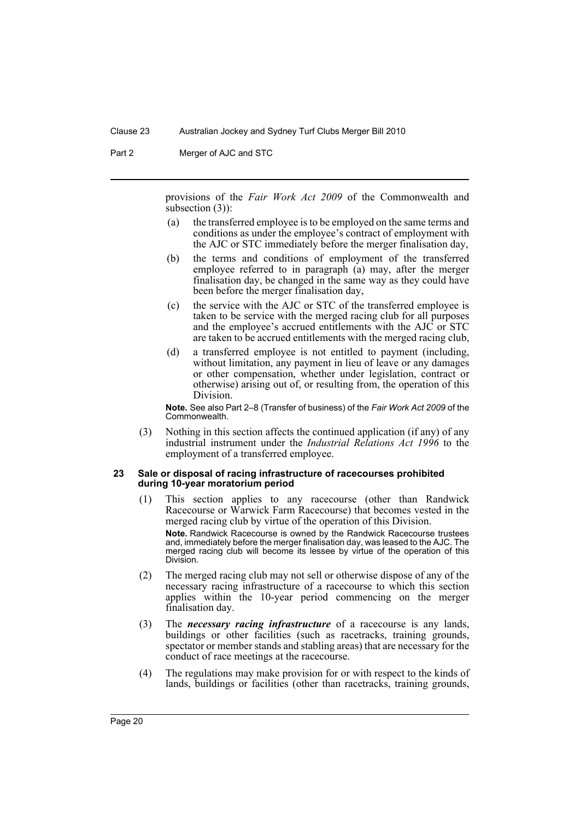Part 2 Merger of AJC and STC

provisions of the *Fair Work Act 2009* of the Commonwealth and subsection (3)):

- (a) the transferred employee is to be employed on the same terms and conditions as under the employee's contract of employment with the AJC or STC immediately before the merger finalisation day,
- (b) the terms and conditions of employment of the transferred employee referred to in paragraph (a) may, after the merger finalisation day, be changed in the same way as they could have been before the merger finalisation day,
- (c) the service with the AJC or STC of the transferred employee is taken to be service with the merged racing club for all purposes and the employee's accrued entitlements with the AJC or STC are taken to be accrued entitlements with the merged racing club,
- (d) a transferred employee is not entitled to payment (including, without limitation, any payment in lieu of leave or any damages or other compensation, whether under legislation, contract or otherwise) arising out of, or resulting from, the operation of this Division.

**Note.** See also Part 2–8 (Transfer of business) of the *Fair Work Act 2009* of the Commonwealth.

(3) Nothing in this section affects the continued application (if any) of any industrial instrument under the *Industrial Relations Act 1996* to the employment of a transferred employee.

#### <span id="page-23-0"></span>**23 Sale or disposal of racing infrastructure of racecourses prohibited during 10-year moratorium period**

- (1) This section applies to any racecourse (other than Randwick Racecourse or Warwick Farm Racecourse) that becomes vested in the merged racing club by virtue of the operation of this Division. **Note.** Randwick Racecourse is owned by the Randwick Racecourse trustees and, immediately before the merger finalisation day, was leased to the AJC. The merged racing club will become its lessee by virtue of the operation of this Division.
- (2) The merged racing club may not sell or otherwise dispose of any of the necessary racing infrastructure of a racecourse to which this section applies within the 10-year period commencing on the merger finalisation day.
- (3) The *necessary racing infrastructure* of a racecourse is any lands, buildings or other facilities (such as racetracks, training grounds, spectator or member stands and stabling areas) that are necessary for the conduct of race meetings at the racecourse.
- (4) The regulations may make provision for or with respect to the kinds of lands, buildings or facilities (other than racetracks, training grounds,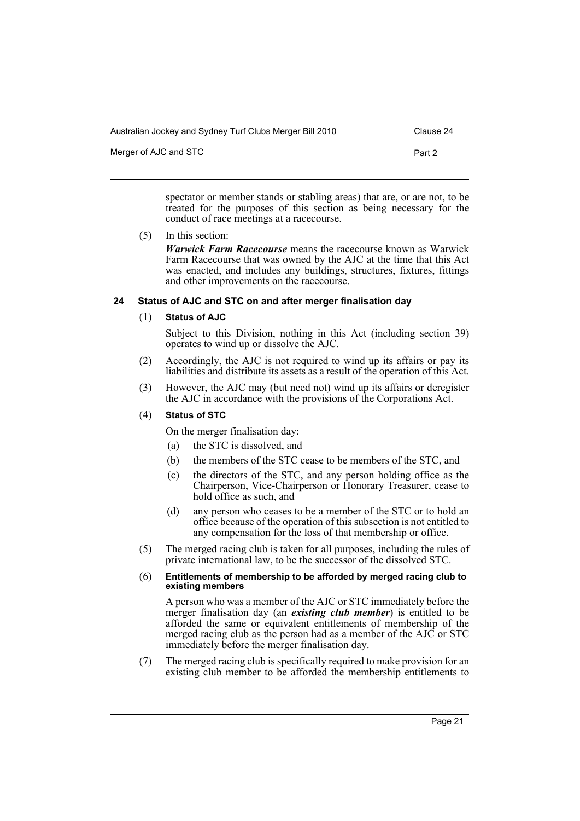| Australian Jockey and Sydney Turf Clubs Merger Bill 2010 | Clause 24 |
|----------------------------------------------------------|-----------|
| Merger of AJC and STC                                    | Part 2    |

spectator or member stands or stabling areas) that are, or are not, to be treated for the purposes of this section as being necessary for the conduct of race meetings at a racecourse.

(5) In this section:

*Warwick Farm Racecourse* means the racecourse known as Warwick Farm Racecourse that was owned by the AJC at the time that this Act was enacted, and includes any buildings, structures, fixtures, fittings and other improvements on the racecourse.

# <span id="page-24-0"></span>**24 Status of AJC and STC on and after merger finalisation day**

# (1) **Status of AJC**

Subject to this Division, nothing in this Act (including section 39) operates to wind up or dissolve the AJC.

- (2) Accordingly, the AJC is not required to wind up its affairs or pay its liabilities and distribute its assets as a result of the operation of this Act.
- (3) However, the AJC may (but need not) wind up its affairs or deregister the AJC in accordance with the provisions of the Corporations Act.

# (4) **Status of STC**

On the merger finalisation day:

- (a) the STC is dissolved, and
- (b) the members of the STC cease to be members of the STC, and
- (c) the directors of the STC, and any person holding office as the Chairperson, Vice-Chairperson or Honorary Treasurer, cease to hold office as such, and
- (d) any person who ceases to be a member of the STC or to hold an office because of the operation of this subsection is not entitled to any compensation for the loss of that membership or office.
- (5) The merged racing club is taken for all purposes, including the rules of private international law, to be the successor of the dissolved STC.

#### (6) **Entitlements of membership to be afforded by merged racing club to existing members**

A person who was a member of the AJC or STC immediately before the merger finalisation day (an *existing club member*) is entitled to be afforded the same or equivalent entitlements of membership of the merged racing club as the person had as a member of the AJC or STC immediately before the merger finalisation day.

(7) The merged racing club is specifically required to make provision for an existing club member to be afforded the membership entitlements to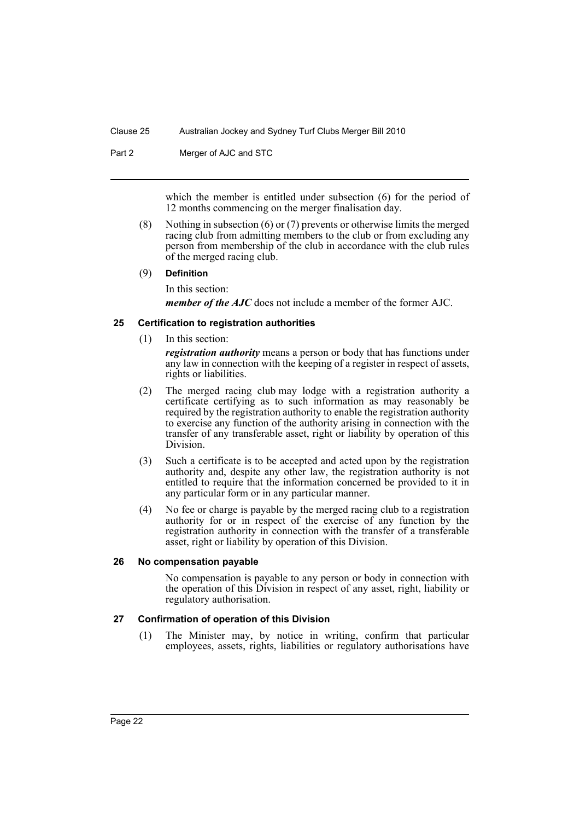Part 2 Merger of AJC and STC

which the member is entitled under subsection (6) for the period of 12 months commencing on the merger finalisation day.

(8) Nothing in subsection (6) or (7) prevents or otherwise limits the merged racing club from admitting members to the club or from excluding any person from membership of the club in accordance with the club rules of the merged racing club.

### (9) **Definition**

In this section:

*member of the AJC* does not include a member of the former AJC.

### <span id="page-25-0"></span>**25 Certification to registration authorities**

(1) In this section:

*registration authority* means a person or body that has functions under any law in connection with the keeping of a register in respect of assets, rights or liabilities.

- (2) The merged racing club may lodge with a registration authority a certificate certifying as to such information as may reasonably be required by the registration authority to enable the registration authority to exercise any function of the authority arising in connection with the transfer of any transferable asset, right or liability by operation of this Division.
- (3) Such a certificate is to be accepted and acted upon by the registration authority and, despite any other law, the registration authority is not entitled to require that the information concerned be provided to it in any particular form or in any particular manner.
- (4) No fee or charge is payable by the merged racing club to a registration authority for or in respect of the exercise of any function by the registration authority in connection with the transfer of a transferable asset, right or liability by operation of this Division.

#### <span id="page-25-1"></span>**26 No compensation payable**

No compensation is payable to any person or body in connection with the operation of this Division in respect of any asset, right, liability or regulatory authorisation.

# <span id="page-25-2"></span>**27 Confirmation of operation of this Division**

(1) The Minister may, by notice in writing, confirm that particular employees, assets, rights, liabilities or regulatory authorisations have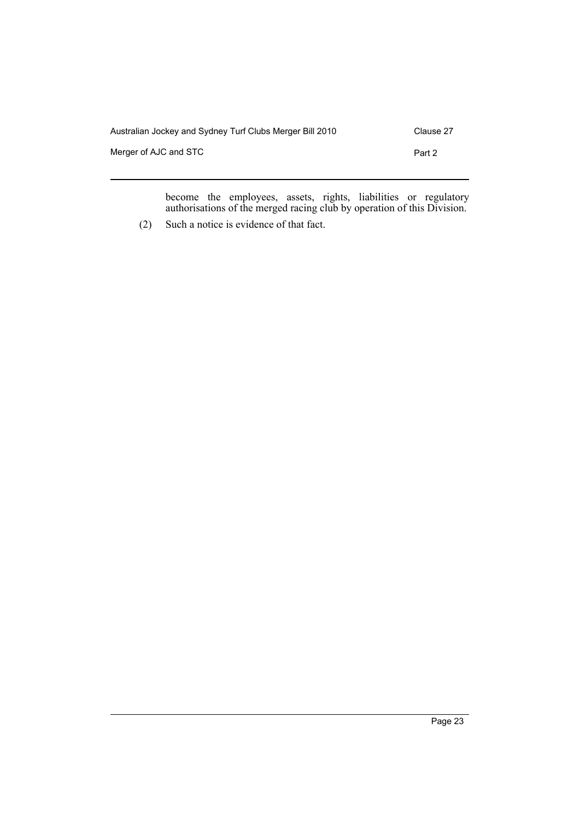| Australian Jockey and Sydney Turf Clubs Merger Bill 2010 | Clause 27 |
|----------------------------------------------------------|-----------|
| Merger of AJC and STC                                    | Part 2    |

become the employees, assets, rights, liabilities or regulatory authorisations of the merged racing club by operation of this Division.

(2) Such a notice is evidence of that fact.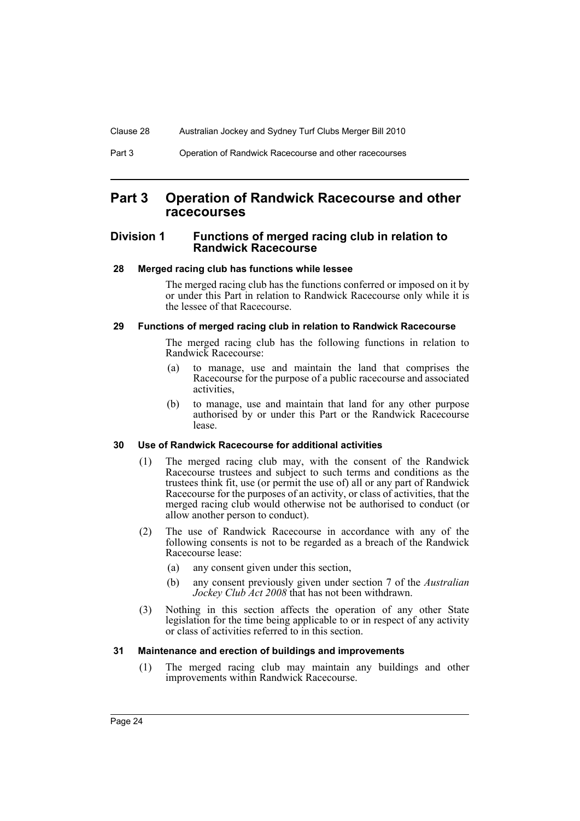# <span id="page-27-0"></span>**Part 3 Operation of Randwick Racecourse and other racecourses**

# <span id="page-27-1"></span>**Division 1 Functions of merged racing club in relation to Randwick Racecourse**

### <span id="page-27-2"></span>**28 Merged racing club has functions while lessee**

The merged racing club has the functions conferred or imposed on it by or under this Part in relation to Randwick Racecourse only while it is the lessee of that Racecourse.

#### <span id="page-27-3"></span>**29 Functions of merged racing club in relation to Randwick Racecourse**

The merged racing club has the following functions in relation to Randwick Racecourse:

- (a) to manage, use and maintain the land that comprises the Racecourse for the purpose of a public racecourse and associated activities,
- (b) to manage, use and maintain that land for any other purpose authorised by or under this Part or the Randwick Racecourse lease.

# <span id="page-27-4"></span>**30 Use of Randwick Racecourse for additional activities**

- (1) The merged racing club may, with the consent of the Randwick Racecourse trustees and subject to such terms and conditions as the trustees think fit, use (or permit the use of) all or any part of Randwick Racecourse for the purposes of an activity, or class of activities, that the merged racing club would otherwise not be authorised to conduct (or allow another person to conduct).
- (2) The use of Randwick Racecourse in accordance with any of the following consents is not to be regarded as a breach of the Randwick Racecourse lease:
	- (a) any consent given under this section,
	- (b) any consent previously given under section 7 of the *Australian Jockey Club Act 2008* that has not been withdrawn.
- (3) Nothing in this section affects the operation of any other State legislation for the time being applicable to or in respect of any activity or class of activities referred to in this section.

#### <span id="page-27-5"></span>**31 Maintenance and erection of buildings and improvements**

(1) The merged racing club may maintain any buildings and other improvements within Randwick Racecourse.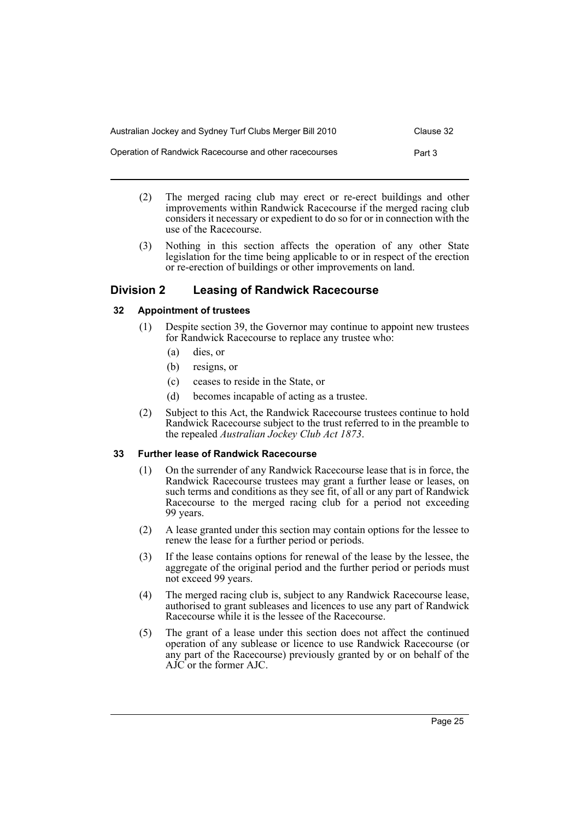| Australian Jockey and Sydney Turf Clubs Merger Bill 2010 | Clause 32 |
|----------------------------------------------------------|-----------|
| Operation of Randwick Racecourse and other racecourses   | Part 3    |

- (2) The merged racing club may erect or re-erect buildings and other improvements within Randwick Racecourse if the merged racing club considers it necessary or expedient to do so for or in connection with the use of the Racecourse.
- (3) Nothing in this section affects the operation of any other State legislation for the time being applicable to or in respect of the erection or re-erection of buildings or other improvements on land.

# <span id="page-28-0"></span>**Division 2 Leasing of Randwick Racecourse**

# <span id="page-28-1"></span>**32 Appointment of trustees**

- (1) Despite section 39, the Governor may continue to appoint new trustees for Randwick Racecourse to replace any trustee who:
	- (a) dies, or
	- (b) resigns, or
	- (c) ceases to reside in the State, or
	- (d) becomes incapable of acting as a trustee.
- (2) Subject to this Act, the Randwick Racecourse trustees continue to hold Randwick Racecourse subject to the trust referred to in the preamble to the repealed *Australian Jockey Club Act 1873*.

# <span id="page-28-2"></span>**33 Further lease of Randwick Racecourse**

- (1) On the surrender of any Randwick Racecourse lease that is in force, the Randwick Racecourse trustees may grant a further lease or leases, on such terms and conditions as they see fit, of all or any part of Randwick Racecourse to the merged racing club for a period not exceeding 99 years.
- (2) A lease granted under this section may contain options for the lessee to renew the lease for a further period or periods.
- (3) If the lease contains options for renewal of the lease by the lessee, the aggregate of the original period and the further period or periods must not exceed 99 years.
- (4) The merged racing club is, subject to any Randwick Racecourse lease, authorised to grant subleases and licences to use any part of Randwick Racecourse while it is the lessee of the Racecourse.
- (5) The grant of a lease under this section does not affect the continued operation of any sublease or licence to use Randwick Racecourse (or any part of the Racecourse) previously granted by or on behalf of the AJC or the former AJC.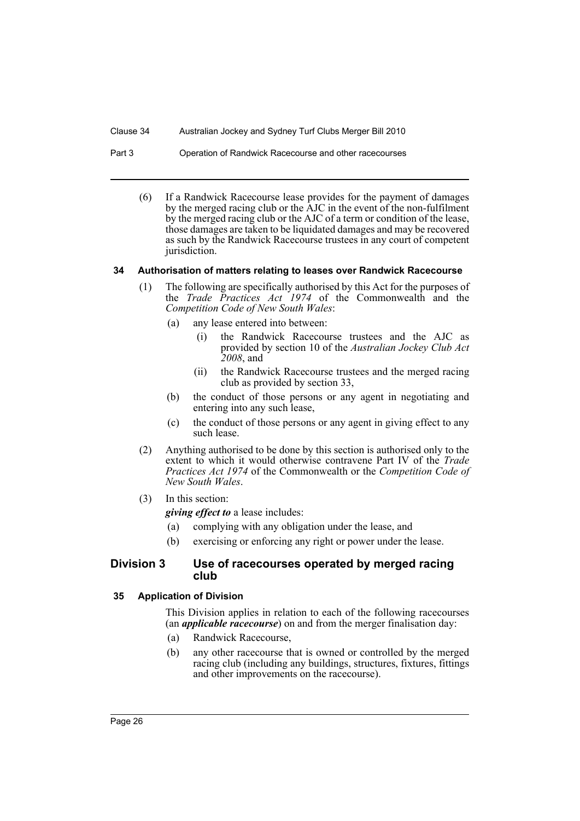#### Part 3 Operation of Randwick Racecourse and other racecourses

(6) If a Randwick Racecourse lease provides for the payment of damages by the merged racing club or the AJC in the event of the non-fulfilment by the merged racing club or the AJC of a term or condition of the lease, those damages are taken to be liquidated damages and may be recovered as such by the Randwick Racecourse trustees in any court of competent jurisdiction.

### <span id="page-29-0"></span>**34 Authorisation of matters relating to leases over Randwick Racecourse**

- (1) The following are specifically authorised by this Act for the purposes of the *Trade Practices Act 1974* of the Commonwealth and the *Competition Code of New South Wales*:
	- (a) any lease entered into between:
		- (i) the Randwick Racecourse trustees and the AJC as provided by section 10 of the *Australian Jockey Club Act 2008*, and
		- (ii) the Randwick Racecourse trustees and the merged racing club as provided by section 33,
	- (b) the conduct of those persons or any agent in negotiating and entering into any such lease,
	- (c) the conduct of those persons or any agent in giving effect to any such lease.
- (2) Anything authorised to be done by this section is authorised only to the extent to which it would otherwise contravene Part IV of the *Trade Practices Act 1974* of the Commonwealth or the *Competition Code of New South Wales*.
- (3) In this section:

*giving effect to* a lease includes:

- (a) complying with any obligation under the lease, and
- (b) exercising or enforcing any right or power under the lease.

### <span id="page-29-1"></span>**Division 3 Use of racecourses operated by merged racing club**

# <span id="page-29-2"></span>**35 Application of Division**

This Division applies in relation to each of the following racecourses (an *applicable racecourse*) on and from the merger finalisation day:

- (a) Randwick Racecourse,
- (b) any other racecourse that is owned or controlled by the merged racing club (including any buildings, structures, fixtures, fittings and other improvements on the racecourse).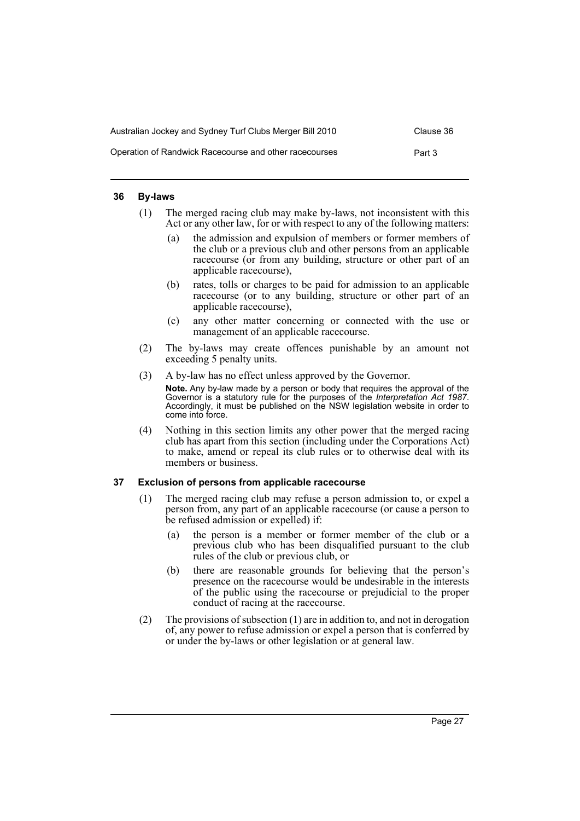| Australian Jockey and Sydney Turf Clubs Merger Bill 2010 | Clause 36 |
|----------------------------------------------------------|-----------|
| Operation of Randwick Racecourse and other racecourses   | Part 3    |

#### <span id="page-30-0"></span>**36 By-laws**

- (1) The merged racing club may make by-laws, not inconsistent with this Act or any other law, for or with respect to any of the following matters:
	- (a) the admission and expulsion of members or former members of the club or a previous club and other persons from an applicable racecourse (or from any building, structure or other part of an applicable racecourse),
	- (b) rates, tolls or charges to be paid for admission to an applicable racecourse (or to any building, structure or other part of an applicable racecourse),
	- (c) any other matter concerning or connected with the use or management of an applicable racecourse.
- (2) The by-laws may create offences punishable by an amount not exceeding 5 penalty units.
- (3) A by-law has no effect unless approved by the Governor. **Note.** Any by-law made by a person or body that requires the approval of the Governor is a statutory rule for the purposes of the *Interpretation Act 1987*. Accordingly, it must be published on the NSW legislation website in order to come into force.
- (4) Nothing in this section limits any other power that the merged racing club has apart from this section (including under the Corporations Act) to make, amend or repeal its club rules or to otherwise deal with its members or business.

#### <span id="page-30-1"></span>**37 Exclusion of persons from applicable racecourse**

- (1) The merged racing club may refuse a person admission to, or expel a person from, any part of an applicable racecourse (or cause a person to be refused admission or expelled) if:
	- (a) the person is a member or former member of the club or a previous club who has been disqualified pursuant to the club rules of the club or previous club, or
	- (b) there are reasonable grounds for believing that the person's presence on the racecourse would be undesirable in the interests of the public using the racecourse or prejudicial to the proper conduct of racing at the racecourse.
- (2) The provisions of subsection (1) are in addition to, and not in derogation of, any power to refuse admission or expel a person that is conferred by or under the by-laws or other legislation or at general law.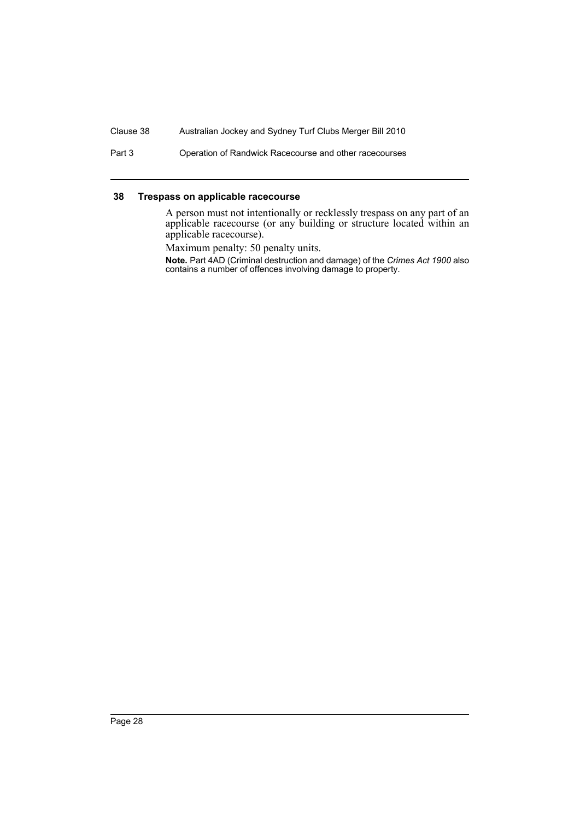Part 3 Operation of Randwick Racecourse and other racecourses

### <span id="page-31-0"></span>**38 Trespass on applicable racecourse**

A person must not intentionally or recklessly trespass on any part of an applicable racecourse (or any building or structure located within an applicable racecourse).

Maximum penalty: 50 penalty units.

**Note.** Part 4AD (Criminal destruction and damage) of the *Crimes Act 1900* also contains a number of offences involving damage to property.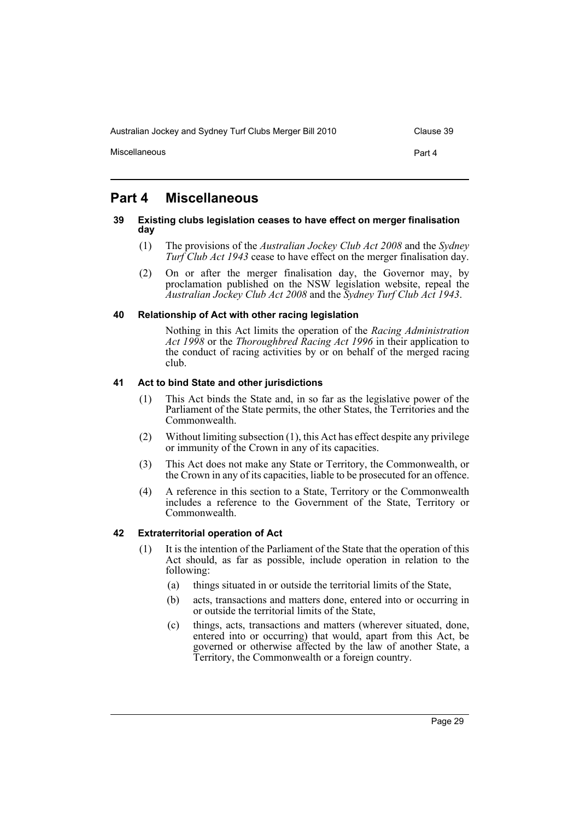Australian Jockey and Sydney Turf Clubs Merger Bill 2010 Clause 39

Miscellaneous Part 4

# <span id="page-32-0"></span>**Part 4 Miscellaneous**

#### <span id="page-32-1"></span>**39 Existing clubs legislation ceases to have effect on merger finalisation day**

- (1) The provisions of the *Australian Jockey Club Act 2008* and the *Sydney Turf Club Act 1943* cease to have effect on the merger finalisation day.
- (2) On or after the merger finalisation day, the Governor may, by proclamation published on the NSW legislation website, repeal the *Australian Jockey Club Act 2008* and the *Sydney Turf Club Act 1943*.

# <span id="page-32-2"></span>**40 Relationship of Act with other racing legislation**

Nothing in this Act limits the operation of the *Racing Administration Act 1998* or the *Thoroughbred Racing Act 1996* in their application to the conduct of racing activities by or on behalf of the merged racing club.

### <span id="page-32-3"></span>**41 Act to bind State and other jurisdictions**

- (1) This Act binds the State and, in so far as the legislative power of the Parliament of the State permits, the other States, the Territories and the Commonwealth.
- (2) Without limiting subsection (1), this Act has effect despite any privilege or immunity of the Crown in any of its capacities.
- (3) This Act does not make any State or Territory, the Commonwealth, or the Crown in any of its capacities, liable to be prosecuted for an offence.
- (4) A reference in this section to a State, Territory or the Commonwealth includes a reference to the Government of the State, Territory or Commonwealth.

# <span id="page-32-4"></span>**42 Extraterritorial operation of Act**

- (1) It is the intention of the Parliament of the State that the operation of this Act should, as far as possible, include operation in relation to the following:
	- (a) things situated in or outside the territorial limits of the State,
	- (b) acts, transactions and matters done, entered into or occurring in or outside the territorial limits of the State,
	- (c) things, acts, transactions and matters (wherever situated, done, entered into or occurring) that would, apart from this Act, be governed or otherwise affected by the law of another State, a Territory, the Commonwealth or a foreign country.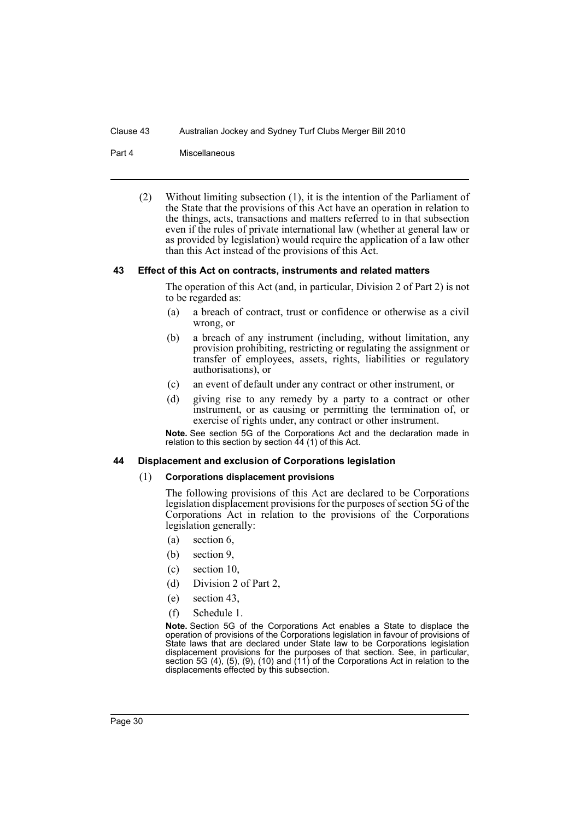#### Part 4 Miscellaneous

(2) Without limiting subsection (1), it is the intention of the Parliament of the State that the provisions of this Act have an operation in relation to the things, acts, transactions and matters referred to in that subsection even if the rules of private international law (whether at general law or as provided by legislation) would require the application of a law other than this Act instead of the provisions of this Act.

### <span id="page-33-0"></span>**43 Effect of this Act on contracts, instruments and related matters**

The operation of this Act (and, in particular, Division 2 of Part 2) is not to be regarded as:

- (a) a breach of contract, trust or confidence or otherwise as a civil wrong, or
- (b) a breach of any instrument (including, without limitation, any provision prohibiting, restricting or regulating the assignment or transfer of employees, assets, rights, liabilities or regulatory authorisations), or
- (c) an event of default under any contract or other instrument, or
- (d) giving rise to any remedy by a party to a contract or other instrument, or as causing or permitting the termination of, or exercise of rights under, any contract or other instrument.

**Note.** See section 5G of the Corporations Act and the declaration made in relation to this section by section  $44$  (1) of this Act.

#### <span id="page-33-1"></span>**44 Displacement and exclusion of Corporations legislation**

#### (1) **Corporations displacement provisions**

The following provisions of this Act are declared to be Corporations legislation displacement provisions for the purposes of section 5G of the Corporations Act in relation to the provisions of the Corporations legislation generally:

- (a) section 6,
- (b) section 9,
- (c) section 10,
- (d) Division 2 of Part 2,
- (e) section 43,
- (f) Schedule 1.

**Note.** Section 5G of the Corporations Act enables a State to displace the operation of provisions of the Corporations legislation in favour of provisions of State laws that are declared under State law to be Corporations legislation displacement provisions for the purposes of that section. See, in particular, section 5G (4), (5), (9), (10) and (11) of the Corporations Act in relation to the displacements effected by this subsection.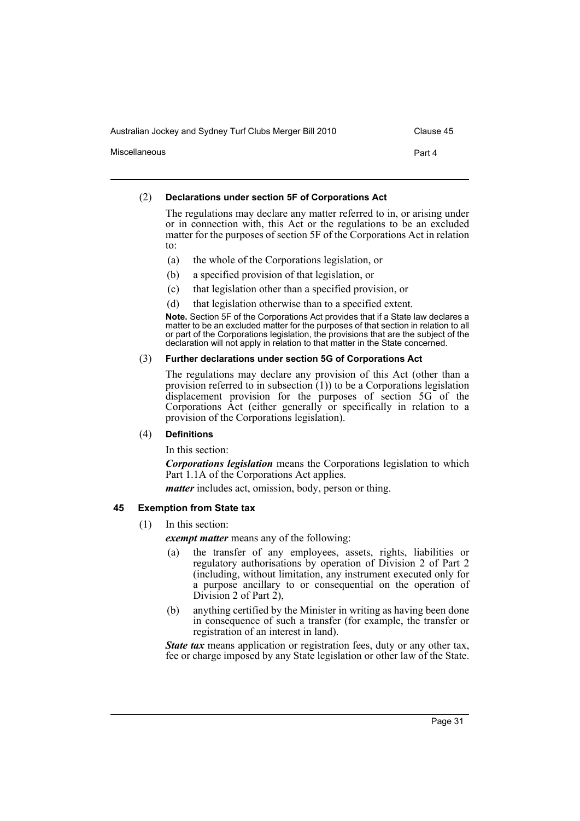| Australian Jockey and Sydney Turf Clubs Merger Bill 2010 | Clause 45 |
|----------------------------------------------------------|-----------|
| Miscellaneous                                            | Part 4    |

# (2) **Declarations under section 5F of Corporations Act**

The regulations may declare any matter referred to in, or arising under or in connection with, this Act or the regulations to be an excluded matter for the purposes of section 5F of the Corporations Act in relation to:

- (a) the whole of the Corporations legislation, or
- (b) a specified provision of that legislation, or
- (c) that legislation other than a specified provision, or
- (d) that legislation otherwise than to a specified extent.

**Note.** Section 5F of the Corporations Act provides that if a State law declares a matter to be an excluded matter for the purposes of that section in relation to all or part of the Corporations legislation, the provisions that are the subject of the declaration will not apply in relation to that matter in the State concerned.

#### (3) **Further declarations under section 5G of Corporations Act**

The regulations may declare any provision of this Act (other than a provision referred to in subsection (1)) to be a Corporations legislation displacement provision for the purposes of section 5G of the Corporations Act (either generally or specifically in relation to a provision of the Corporations legislation).

#### (4) **Definitions**

In this section:

*Corporations legislation* means the Corporations legislation to which Part 1.1A of the Corporations Act applies.

*matter* includes act, omission, body, person or thing.

#### <span id="page-34-0"></span>**45 Exemption from State tax**

(1) In this section:

*exempt matter* means any of the following:

- (a) the transfer of any employees, assets, rights, liabilities or regulatory authorisations by operation of Division 2 of Part 2 (including, without limitation, any instrument executed only for a purpose ancillary to or consequential on the operation of Division 2 of Part  $2$ ),
- (b) anything certified by the Minister in writing as having been done in consequence of such a transfer (for example, the transfer or registration of an interest in land).

*State tax* means application or registration fees, duty or any other tax, fee or charge imposed by any State legislation or other law of the State.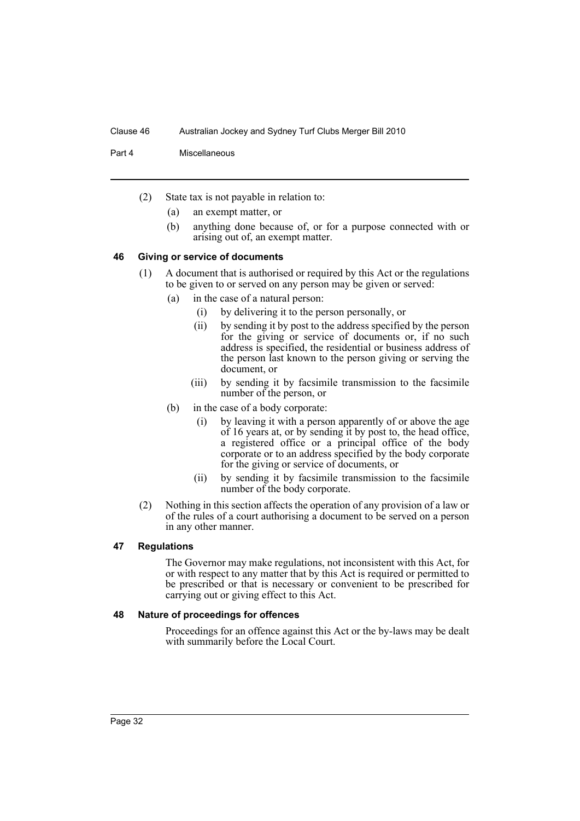Part 4 Miscellaneous

- (2) State tax is not payable in relation to:
	- (a) an exempt matter, or
	- (b) anything done because of, or for a purpose connected with or arising out of, an exempt matter.

#### <span id="page-35-0"></span>**46 Giving or service of documents**

- (1) A document that is authorised or required by this Act or the regulations to be given to or served on any person may be given or served:
	- (a) in the case of a natural person:
		- (i) by delivering it to the person personally, or
		- (ii) by sending it by post to the address specified by the person for the giving or service of documents or, if no such address is specified, the residential or business address of the person last known to the person giving or serving the document, or
		- (iii) by sending it by facsimile transmission to the facsimile number of the person, or
	- (b) in the case of a body corporate:
		- (i) by leaving it with a person apparently of or above the age of 16 years at, or by sending it by post to, the head office, a registered office or a principal office of the body corporate or to an address specified by the body corporate for the giving or service of documents, or
		- (ii) by sending it by facsimile transmission to the facsimile number of the body corporate.
- (2) Nothing in this section affects the operation of any provision of a law or of the rules of a court authorising a document to be served on a person in any other manner.

#### <span id="page-35-1"></span>**47 Regulations**

The Governor may make regulations, not inconsistent with this Act, for or with respect to any matter that by this Act is required or permitted to be prescribed or that is necessary or convenient to be prescribed for carrying out or giving effect to this Act.

#### <span id="page-35-2"></span>**48 Nature of proceedings for offences**

Proceedings for an offence against this Act or the by-laws may be dealt with summarily before the Local Court.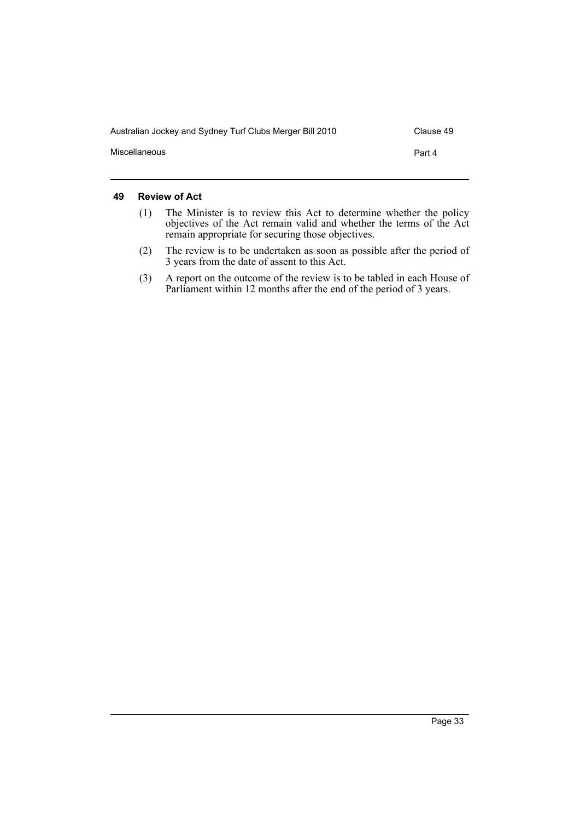| Australian Jockey and Sydney Turf Clubs Merger Bill 2010 | Clause 49 |
|----------------------------------------------------------|-----------|
| Miscellaneous                                            | Part 4    |

# <span id="page-36-0"></span>**49 Review of Act**

- (1) The Minister is to review this Act to determine whether the policy objectives of the Act remain valid and whether the terms of the Act remain appropriate for securing those objectives.
- (2) The review is to be undertaken as soon as possible after the period of 3 years from the date of assent to this Act.
- (3) A report on the outcome of the review is to be tabled in each House of Parliament within 12 months after the end of the period of 3 years.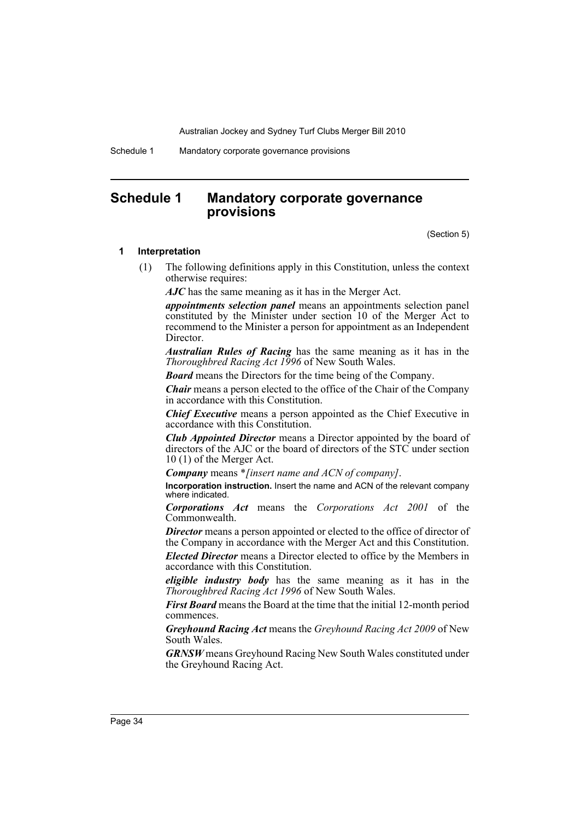Schedule 1 Mandatory corporate governance provisions

# <span id="page-37-0"></span>**Schedule 1 Mandatory corporate governance provisions**

(Section 5)

#### **1 Interpretation**

(1) The following definitions apply in this Constitution, unless the context otherwise requires:

*AJC* has the same meaning as it has in the Merger Act.

*appointments selection panel* means an appointments selection panel constituted by the Minister under section 10 of the Merger Act to recommend to the Minister a person for appointment as an Independent **Director** 

*Australian Rules of Racing* has the same meaning as it has in the *Thoroughbred Racing Act 1996* of New South Wales.

*Board* means the Directors for the time being of the Company.

*Chair* means a person elected to the office of the Chair of the Company in accordance with this Constitution.

*Chief Executive* means a person appointed as the Chief Executive in accordance with this Constitution.

*Club Appointed Director* means a Director appointed by the board of directors of the AJC or the board of directors of the STC under section 10 (1) of the Merger Act.

*Company* means \**[insert name and ACN of company]*.

**Incorporation instruction.** Insert the name and ACN of the relevant company where indicated.

*Corporations Act* means the *Corporations Act 2001* of the Commonwealth.

**Director** means a person appointed or elected to the office of director of the Company in accordance with the Merger Act and this Constitution. *Elected Director* means a Director elected to office by the Members in accordance with this Constitution.

*eligible industry body* has the same meaning as it has in the *Thoroughbred Racing Act 1996* of New South Wales.

*First Board* means the Board at the time that the initial 12-month period commences.

*Greyhound Racing Act* means the *Greyhound Racing Act 2009* of New South Wales.

*GRNSW* means Greyhound Racing New South Wales constituted under the Greyhound Racing Act.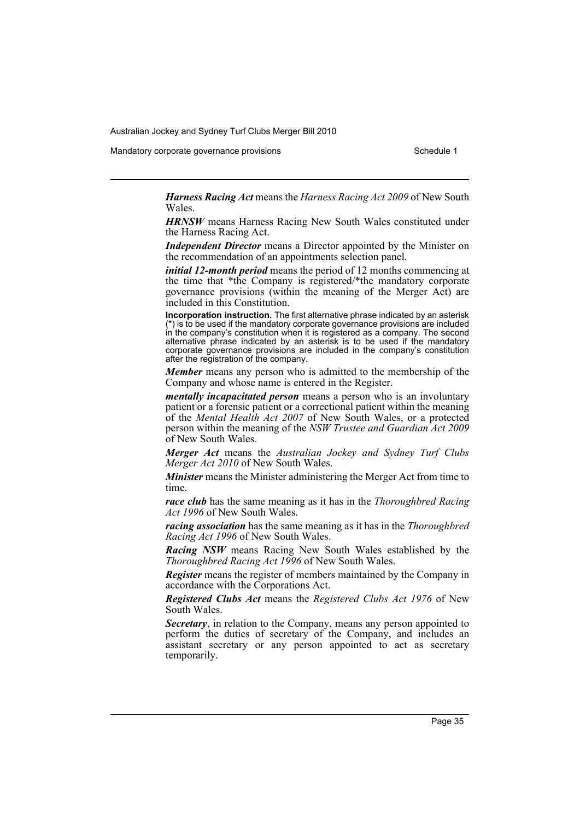Mandatory corporate governance provisions Schedule 1

*Harness Racing Act* means the *Harness Racing Act 2009* of New South Wales.

*HRNSW* means Harness Racing New South Wales constituted under the Harness Racing Act.

*Independent Director* means a Director appointed by the Minister on the recommendation of an appointments selection panel.

*initial 12-month period* means the period of 12 months commencing at the time that \*the Company is registered/\*the mandatory corporate governance provisions (within the meaning of the Merger Act) are included in this Constitution.

**Incorporation instruction.** The first alternative phrase indicated by an asterisk (\*) is to be used if the mandatory corporate governance provisions are included in the company's constitution when it is registered as a company. The second alternative phrase indicated by an asterisk is to be used if the mandatory corporate governance provisions are included in the company's constitution after the registration of the company.

*Member* means any person who is admitted to the membership of the Company and whose name is entered in the Register.

*mentally incapacitated person* means a person who is an involuntary patient or a forensic patient or a correctional patient within the meaning of the *Mental Health Act 2007* of New South Wales, or a protected person within the meaning of the *NSW Trustee and Guardian Act 2009* of New South Wales.

*Merger Act* means the *Australian Jockey and Sydney Turf Clubs Merger Act 2010* of New South Wales.

*Minister* means the Minister administering the Merger Act from time to time.

*race club* has the same meaning as it has in the *Thoroughbred Racing Act 1996* of New South Wales.

*racing association* has the same meaning as it has in the *Thoroughbred Racing Act 1996* of New South Wales.

*Racing NSW* means Racing New South Wales established by the *Thoroughbred Racing Act 1996* of New South Wales.

*Register* means the register of members maintained by the Company in accordance with the Corporations Act.

*Registered Clubs Act* means the *Registered Clubs Act 1976* of New South Wales.

*Secretary*, in relation to the Company, means any person appointed to perform the duties of secretary of the Company, and includes an assistant secretary or any person appointed to act as secretary temporarily.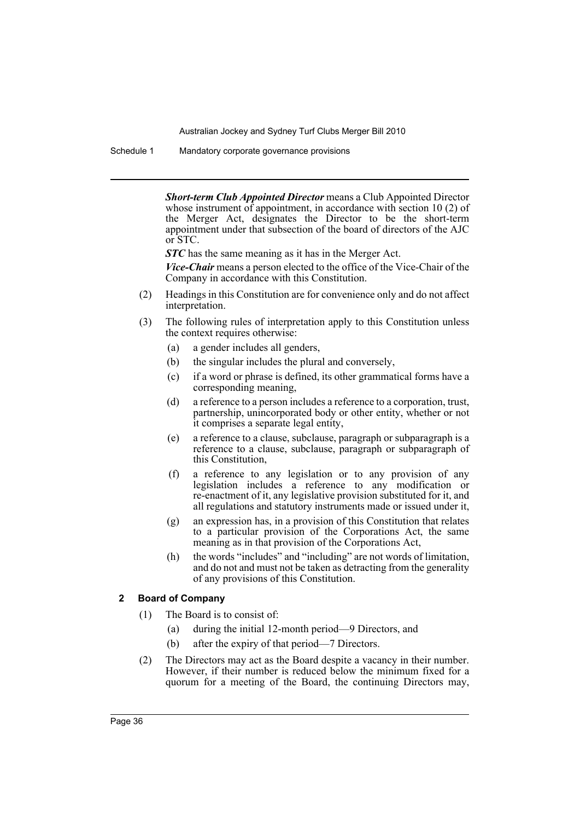Schedule 1 Mandatory corporate governance provisions

*Short-term Club Appointed Director* means a Club Appointed Director whose instrument of appointment, in accordance with section 10 (2) of the Merger Act, designates the Director to be the short-term appointment under that subsection of the board of directors of the AJC or STC.

*STC* has the same meaning as it has in the Merger Act.

*Vice-Chair* means a person elected to the office of the Vice-Chair of the Company in accordance with this Constitution.

- (2) Headings in this Constitution are for convenience only and do not affect interpretation.
- (3) The following rules of interpretation apply to this Constitution unless the context requires otherwise:
	- (a) a gender includes all genders,
	- (b) the singular includes the plural and conversely,
	- (c) if a word or phrase is defined, its other grammatical forms have a corresponding meaning,
	- (d) a reference to a person includes a reference to a corporation, trust, partnership, unincorporated body or other entity, whether or not it comprises a separate legal entity,
	- (e) a reference to a clause, subclause, paragraph or subparagraph is a reference to a clause, subclause, paragraph or subparagraph of this Constitution,
	- (f) a reference to any legislation or to any provision of any legislation includes a reference to any modification or re-enactment of it, any legislative provision substituted for it, and all regulations and statutory instruments made or issued under it,
	- (g) an expression has, in a provision of this Constitution that relates to a particular provision of the Corporations Act, the same meaning as in that provision of the Corporations Act,
	- (h) the words "includes" and "including" are not words of limitation, and do not and must not be taken as detracting from the generality of any provisions of this Constitution.

# **2 Board of Company**

- (1) The Board is to consist of:
	- (a) during the initial 12-month period—9 Directors, and
	- (b) after the expiry of that period—7 Directors.
- (2) The Directors may act as the Board despite a vacancy in their number. However, if their number is reduced below the minimum fixed for a quorum for a meeting of the Board, the continuing Directors may,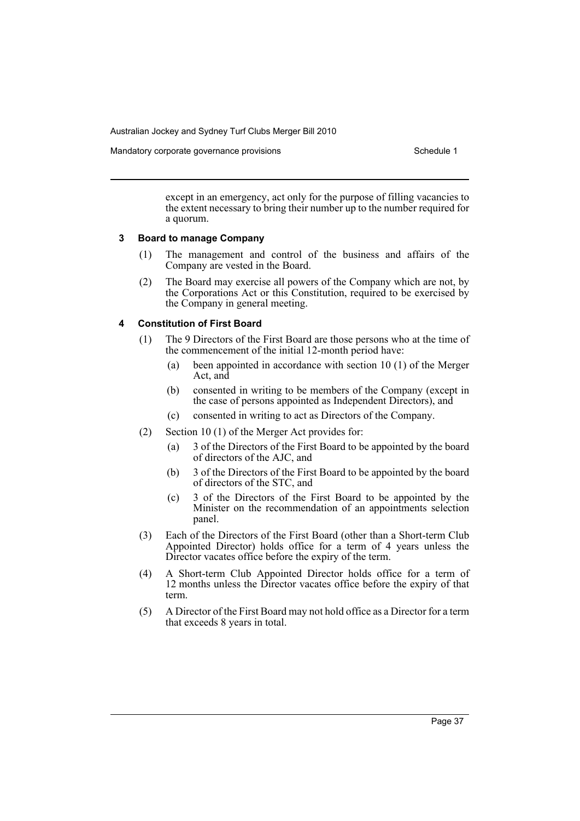Mandatory corporate governance provisions example 20 and 20 schedule 1

except in an emergency, act only for the purpose of filling vacancies to the extent necessary to bring their number up to the number required for a quorum.

# **3 Board to manage Company**

- (1) The management and control of the business and affairs of the Company are vested in the Board.
- (2) The Board may exercise all powers of the Company which are not, by the Corporations Act or this Constitution, required to be exercised by the Company in general meeting.

# **4 Constitution of First Board**

- (1) The 9 Directors of the First Board are those persons who at the time of the commencement of the initial 12-month period have:
	- (a) been appointed in accordance with section 10 (1) of the Merger Act, and
	- (b) consented in writing to be members of the Company (except in the case of persons appointed as Independent Directors), and
	- (c) consented in writing to act as Directors of the Company.
- (2) Section 10 (1) of the Merger Act provides for:
	- (a) 3 of the Directors of the First Board to be appointed by the board of directors of the AJC, and
	- (b) 3 of the Directors of the First Board to be appointed by the board of directors of the STC, and
	- (c) 3 of the Directors of the First Board to be appointed by the Minister on the recommendation of an appointments selection panel.
- (3) Each of the Directors of the First Board (other than a Short-term Club Appointed Director) holds office for a term of 4 years unless the Director vacates office before the expiry of the term.
- (4) A Short-term Club Appointed Director holds office for a term of 12 months unless the Director vacates office before the expiry of that term.
- (5) A Director of the First Board may not hold office as a Director for a term that exceeds 8 years in total.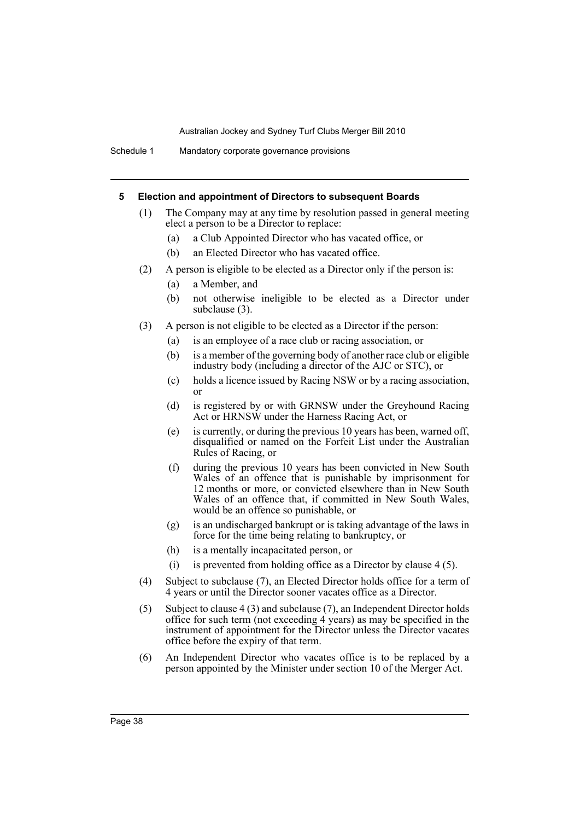#### **5 Election and appointment of Directors to subsequent Boards**

- (1) The Company may at any time by resolution passed in general meeting elect a person to be a Director to replace:
	- (a) a Club Appointed Director who has vacated office, or
	- (b) an Elected Director who has vacated office.
- (2) A person is eligible to be elected as a Director only if the person is:
	- (a) a Member, and
	- (b) not otherwise ineligible to be elected as a Director under subclause (3).
- (3) A person is not eligible to be elected as a Director if the person:
	- (a) is an employee of a race club or racing association, or
	- (b) is a member of the governing body of another race club or eligible industry body (including a director of the AJC or STC), or
	- (c) holds a licence issued by Racing NSW or by a racing association, or
	- (d) is registered by or with GRNSW under the Greyhound Racing Act or HRNSW under the Harness Racing Act, or
	- (e) is currently, or during the previous 10 years has been, warned off, disqualified or named on the Forfeit List under the Australian Rules of Racing, or
	- (f) during the previous 10 years has been convicted in New South Wales of an offence that is punishable by imprisonment for 12 months or more, or convicted elsewhere than in New South Wales of an offence that, if committed in New South Wales, would be an offence so punishable, or
	- (g) is an undischarged bankrupt or is taking advantage of the laws in force for the time being relating to bankruptcy, or
	- (h) is a mentally incapacitated person, or
	- (i) is prevented from holding office as a Director by clause 4 (5).
- (4) Subject to subclause (7), an Elected Director holds office for a term of 4 years or until the Director sooner vacates office as a Director.
- (5) Subject to clause 4 (3) and subclause (7), an Independent Director holds office for such term (not exceeding 4 years) as may be specified in the instrument of appointment for the Director unless the Director vacates office before the expiry of that term.
- (6) An Independent Director who vacates office is to be replaced by a person appointed by the Minister under section 10 of the Merger Act.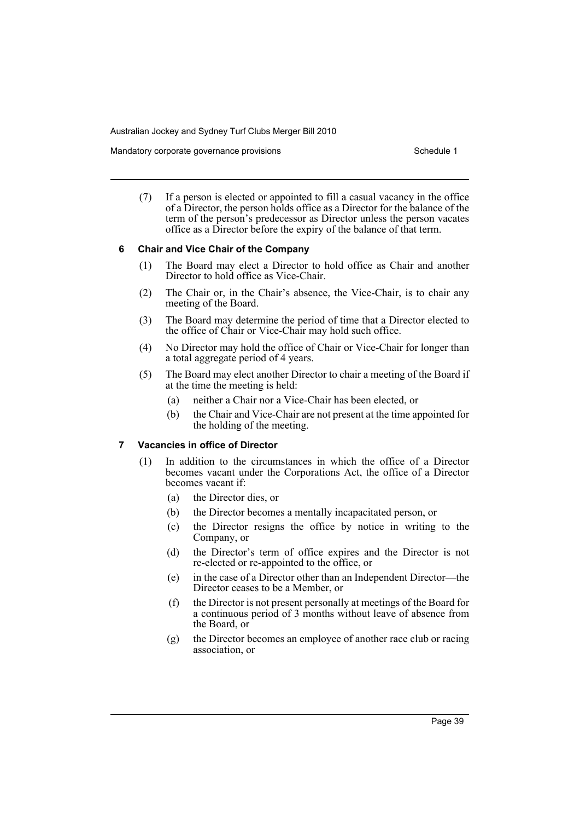Mandatory corporate governance provisions Schedule 1 and Schedule 1

(7) If a person is elected or appointed to fill a casual vacancy in the office of a Director, the person holds office as a Director for the balance of the term of the person's predecessor as Director unless the person vacates office as a Director before the expiry of the balance of that term.

### **6 Chair and Vice Chair of the Company**

- (1) The Board may elect a Director to hold office as Chair and another Director to hold office as Vice-Chair.
- (2) The Chair or, in the Chair's absence, the Vice-Chair, is to chair any meeting of the Board.
- (3) The Board may determine the period of time that a Director elected to the office of Chair or Vice-Chair may hold such office.
- (4) No Director may hold the office of Chair or Vice-Chair for longer than a total aggregate period of 4 years.
- (5) The Board may elect another Director to chair a meeting of the Board if at the time the meeting is held:
	- (a) neither a Chair nor a Vice-Chair has been elected, or
	- (b) the Chair and Vice-Chair are not present at the time appointed for the holding of the meeting.

#### **7 Vacancies in office of Director**

- (1) In addition to the circumstances in which the office of a Director becomes vacant under the Corporations Act, the office of a Director becomes vacant if:
	- (a) the Director dies, or
	- (b) the Director becomes a mentally incapacitated person, or
	- (c) the Director resigns the office by notice in writing to the Company, or
	- (d) the Director's term of office expires and the Director is not re-elected or re-appointed to the office, or
	- (e) in the case of a Director other than an Independent Director—the Director ceases to be a Member, or
	- (f) the Director is not present personally at meetings of the Board for a continuous period of 3 months without leave of absence from the Board, or
	- (g) the Director becomes an employee of another race club or racing association, or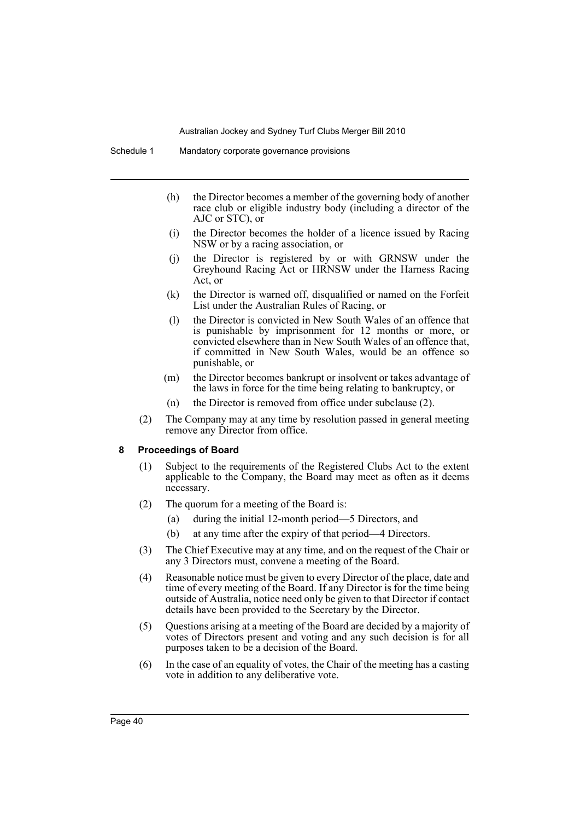- (h) the Director becomes a member of the governing body of another race club or eligible industry body (including a director of the AJC or STC), or
- (i) the Director becomes the holder of a licence issued by Racing NSW or by a racing association, or
- (j) the Director is registered by or with GRNSW under the Greyhound Racing Act or HRNSW under the Harness Racing Act, or
- (k) the Director is warned off, disqualified or named on the Forfeit List under the Australian Rules of Racing, or
- (l) the Director is convicted in New South Wales of an offence that is punishable by imprisonment for 12 months or more, or convicted elsewhere than in New South Wales of an offence that, if committed in New South Wales, would be an offence so punishable, or
- (m) the Director becomes bankrupt or insolvent or takes advantage of the laws in force for the time being relating to bankruptcy, or
- (n) the Director is removed from office under subclause (2).
- (2) The Company may at any time by resolution passed in general meeting remove any Director from office.

#### **8 Proceedings of Board**

- (1) Subject to the requirements of the Registered Clubs Act to the extent applicable to the Company, the Board may meet as often as it deems necessary.
- (2) The quorum for a meeting of the Board is:
	- (a) during the initial 12-month period—5 Directors, and
	- (b) at any time after the expiry of that period—4 Directors.
- (3) The Chief Executive may at any time, and on the request of the Chair or any 3 Directors must, convene a meeting of the Board.
- (4) Reasonable notice must be given to every Director of the place, date and time of every meeting of the Board. If any Director is for the time being outside of Australia, notice need only be given to that Director if contact details have been provided to the Secretary by the Director.
- (5) Questions arising at a meeting of the Board are decided by a majority of votes of Directors present and voting and any such decision is for all purposes taken to be a decision of the Board.
- (6) In the case of an equality of votes, the Chair of the meeting has a casting vote in addition to any deliberative vote.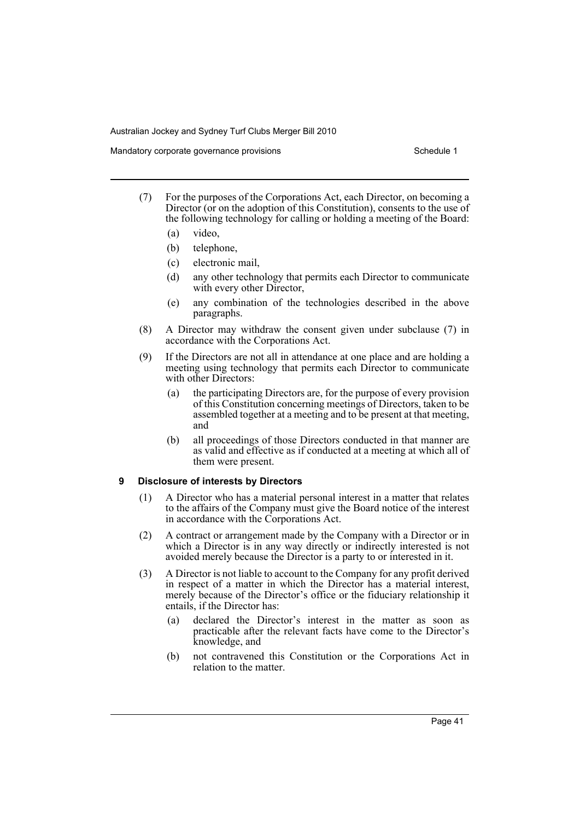Mandatory corporate governance provisions Schedule 1 and Schedule 1

- (7) For the purposes of the Corporations Act, each Director, on becoming a Director (or on the adoption of this Constitution), consents to the use of the following technology for calling or holding a meeting of the Board:
	- (a) video,
	- (b) telephone,
	- (c) electronic mail,
	- (d) any other technology that permits each Director to communicate with every other Director,
	- (e) any combination of the technologies described in the above paragraphs.
- (8) A Director may withdraw the consent given under subclause (7) in accordance with the Corporations Act.
- (9) If the Directors are not all in attendance at one place and are holding a meeting using technology that permits each Director to communicate with other Directors:
	- (a) the participating Directors are, for the purpose of every provision of this Constitution concerning meetings of Directors, taken to be assembled together at a meeting and to be present at that meeting, and
	- (b) all proceedings of those Directors conducted in that manner are as valid and effective as if conducted at a meeting at which all of them were present.

#### **9 Disclosure of interests by Directors**

- (1) A Director who has a material personal interest in a matter that relates to the affairs of the Company must give the Board notice of the interest in accordance with the Corporations Act.
- (2) A contract or arrangement made by the Company with a Director or in which a Director is in any way directly or indirectly interested is not avoided merely because the Director is a party to or interested in it.
- (3) A Director is not liable to account to the Company for any profit derived in respect of a matter in which the Director has a material interest, merely because of the Director's office or the fiduciary relationship it entails, if the Director has:
	- (a) declared the Director's interest in the matter as soon as practicable after the relevant facts have come to the Director's knowledge, and
	- (b) not contravened this Constitution or the Corporations Act in relation to the matter.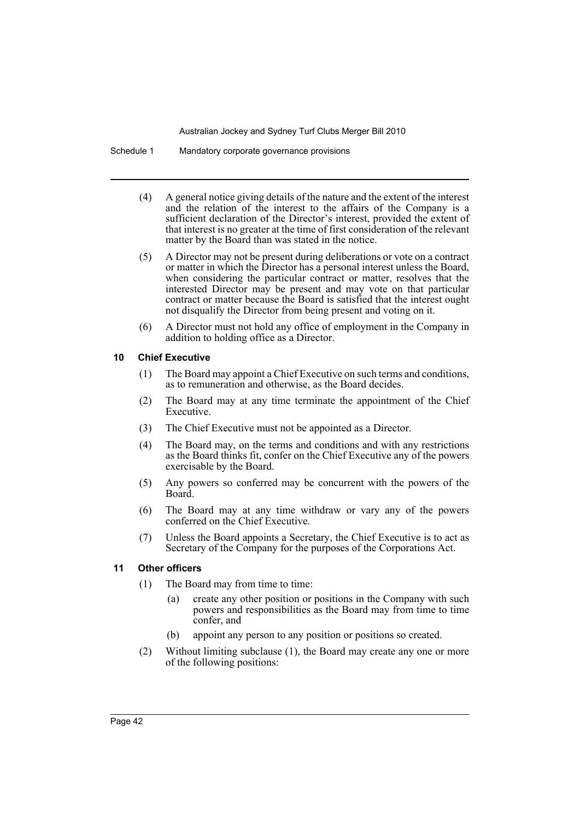Schedule 1 Mandatory corporate governance provisions

- (4) A general notice giving details of the nature and the extent of the interest and the relation of the interest to the affairs of the Company is a sufficient declaration of the Director's interest, provided the extent of that interest is no greater at the time of first consideration of the relevant matter by the Board than was stated in the notice.
- (5) A Director may not be present during deliberations or vote on a contract or matter in which the Director has a personal interest unless the Board, when considering the particular contract or matter, resolves that the interested Director may be present and may vote on that particular contract or matter because the Board is satisfied that the interest ought not disqualify the Director from being present and voting on it.
- (6) A Director must not hold any office of employment in the Company in addition to holding office as a Director.

# **10 Chief Executive**

- (1) The Board may appoint a Chief Executive on such terms and conditions, as to remuneration and otherwise, as the Board decides.
- (2) The Board may at any time terminate the appointment of the Chief Executive.
- (3) The Chief Executive must not be appointed as a Director.
- (4) The Board may, on the terms and conditions and with any restrictions as the Board thinks fit, confer on the Chief Executive any of the powers exercisable by the Board.
- (5) Any powers so conferred may be concurrent with the powers of the Board.
- (6) The Board may at any time withdraw or vary any of the powers conferred on the Chief Executive.
- (7) Unless the Board appoints a Secretary, the Chief Executive is to act as Secretary of the Company for the purposes of the Corporations Act.

# **11 Other officers**

- (1) The Board may from time to time:
	- (a) create any other position or positions in the Company with such powers and responsibilities as the Board may from time to time confer, and
	- (b) appoint any person to any position or positions so created.
- (2) Without limiting subclause (1), the Board may create any one or more of the following positions: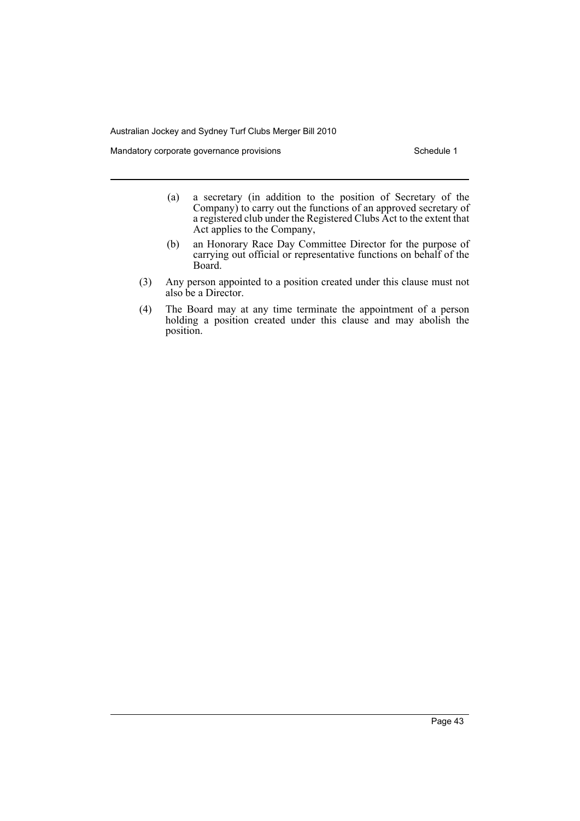Mandatory corporate governance provisions **Schedule 1** Schedule 1

- (a) a secretary (in addition to the position of Secretary of the Company) to carry out the functions of an approved secretary of a registered club under the Registered Clubs Act to the extent that Act applies to the Company,
- (b) an Honorary Race Day Committee Director for the purpose of carrying out official or representative functions on behalf of the Board.
- (3) Any person appointed to a position created under this clause must not also be a Director.
- (4) The Board may at any time terminate the appointment of a person holding a position created under this clause and may abolish the position.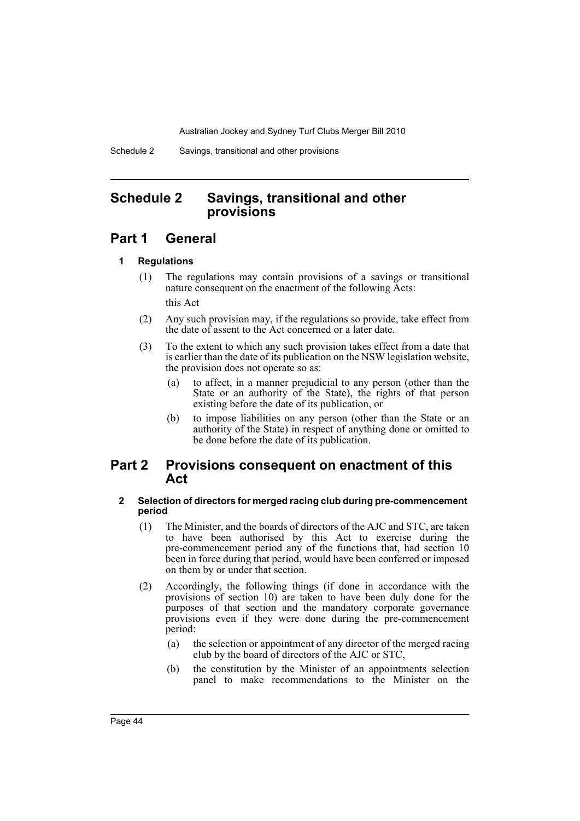Schedule 2 Savings, transitional and other provisions

# <span id="page-47-0"></span>**Schedule 2 Savings, transitional and other provisions**

# **Part 1 General**

# **1 Regulations**

- (1) The regulations may contain provisions of a savings or transitional nature consequent on the enactment of the following Acts: this Act
- (2) Any such provision may, if the regulations so provide, take effect from the date of assent to the Act concerned or a later date.
- (3) To the extent to which any such provision takes effect from a date that is earlier than the date of its publication on the NSW legislation website, the provision does not operate so as:
	- (a) to affect, in a manner prejudicial to any person (other than the State or an authority of the State), the rights of that person existing before the date of its publication, or
	- (b) to impose liabilities on any person (other than the State or an authority of the State) in respect of anything done or omitted to be done before the date of its publication.

# **Part 2 Provisions consequent on enactment of this Act**

# **2 Selection of directors for merged racing club during pre-commencement period**

- (1) The Minister, and the boards of directors of the AJC and STC, are taken to have been authorised by this Act to exercise during the pre-commencement period any of the functions that, had section 10 been in force during that period, would have been conferred or imposed on them by or under that section.
- (2) Accordingly, the following things (if done in accordance with the provisions of section 10) are taken to have been duly done for the purposes of that section and the mandatory corporate governance provisions even if they were done during the pre-commencement period:
	- (a) the selection or appointment of any director of the merged racing club by the board of directors of the AJC or STC,
	- (b) the constitution by the Minister of an appointments selection panel to make recommendations to the Minister on the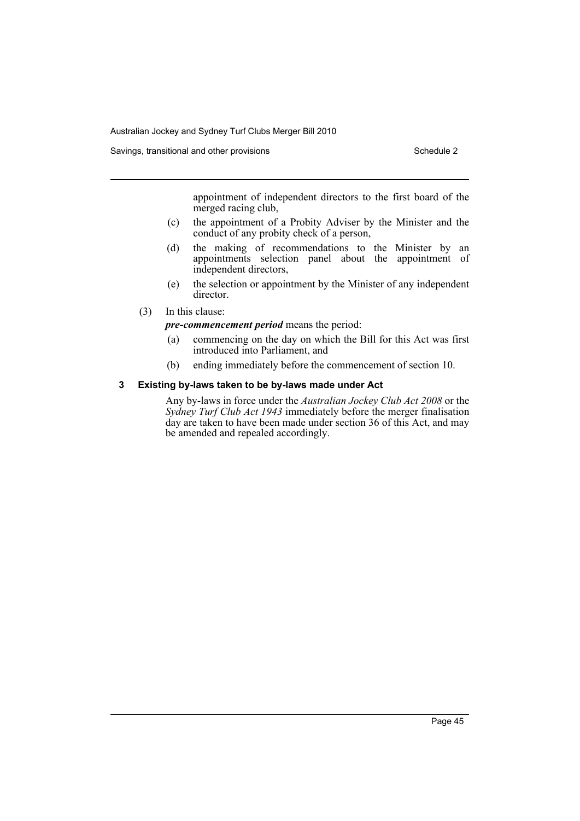Savings, transitional and other provisions Schedule 2 Schedule 2

appointment of independent directors to the first board of the merged racing club,

- (c) the appointment of a Probity Adviser by the Minister and the conduct of any probity check of a person,
- (d) the making of recommendations to the Minister by an appointments selection panel about the appointment of independent directors,
- (e) the selection or appointment by the Minister of any independent director.
- (3) In this clause:

*pre-commencement period* means the period:

- (a) commencing on the day on which the Bill for this Act was first introduced into Parliament, and
- (b) ending immediately before the commencement of section 10.

### **3 Existing by-laws taken to be by-laws made under Act**

Any by-laws in force under the *Australian Jockey Club Act 2008* or the *Sydney Turf Club Act 1943* immediately before the merger finalisation day are taken to have been made under section 36 of this Act, and may be amended and repealed accordingly.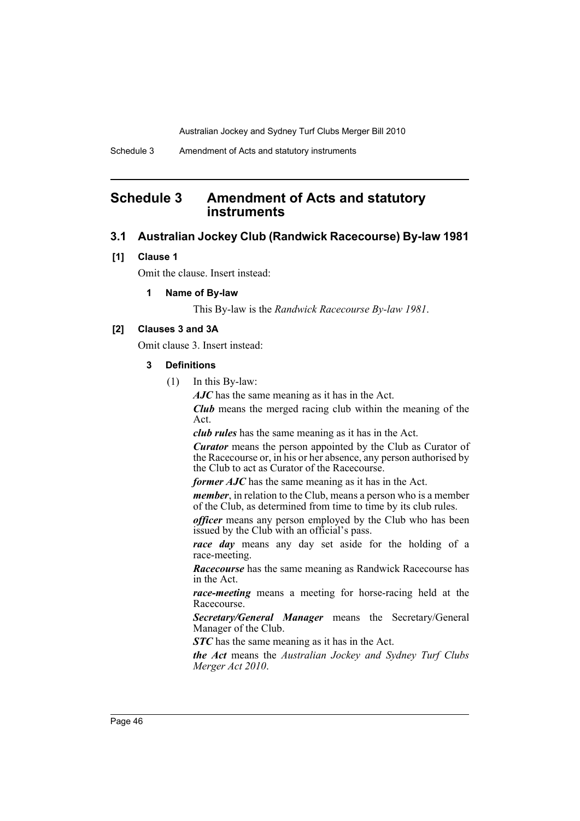# <span id="page-49-0"></span>**Schedule 3 Amendment of Acts and statutory instruments**

### **3.1 Australian Jockey Club (Randwick Racecourse) By-law 1981**

#### **[1] Clause 1**

Omit the clause. Insert instead:

### **1 Name of By-law**

This By-law is the *Randwick Racecourse By-law 1981*.

# **[2] Clauses 3 and 3A**

Omit clause 3. Insert instead:

- **3 Definitions**
	- (1) In this By-law:

*AJC* has the same meaning as it has in the Act.

*Club* means the merged racing club within the meaning of the Act.

*club rules* has the same meaning as it has in the Act.

*Curator* means the person appointed by the Club as Curator of the Racecourse or, in his or her absence, any person authorised by the Club to act as Curator of the Racecourse.

*former AJC* has the same meaning as it has in the Act.

*member*, in relation to the Club, means a person who is a member of the Club, as determined from time to time by its club rules.

*officer* means any person employed by the Club who has been issued by the Club with an official's pass.

*race day* means any day set aside for the holding of a race-meeting.

*Racecourse* has the same meaning as Randwick Racecourse has in the Act.

*race-meeting* means a meeting for horse-racing held at the Racecourse.

*Secretary/General Manager* means the Secretary/General Manager of the Club.

**STC** has the same meaning as it has in the Act.

*the Act* means the *Australian Jockey and Sydney Turf Clubs Merger Act 2010*.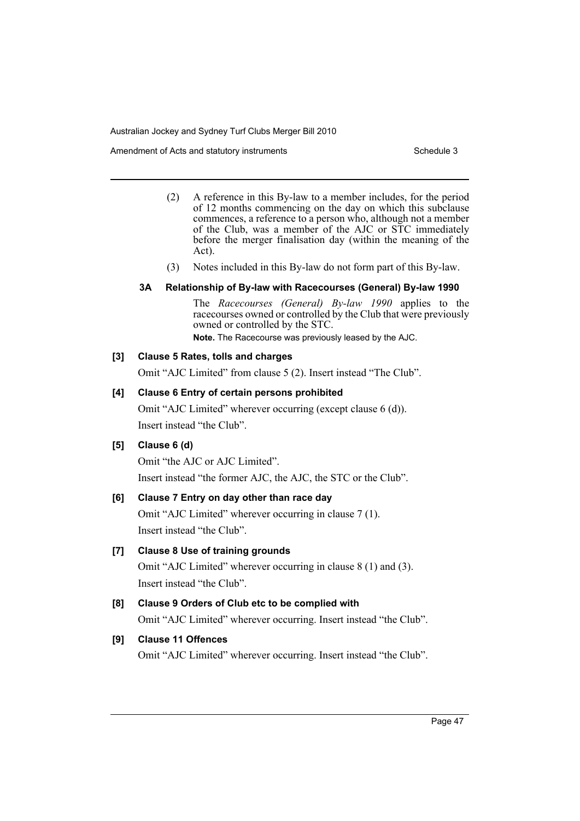Amendment of Acts and statutory instruments Schedule 3

- (2) A reference in this By-law to a member includes, for the period of 12 months commencing on the day on which this subclause commences, a reference to a person who, although not a member of the Club, was a member of the AJC or STC immediately before the merger finalisation day (within the meaning of the Act).
- (3) Notes included in this By-law do not form part of this By-law.

# **3A Relationship of By-law with Racecourses (General) By-law 1990**

The *Racecourses (General) By-law 1990* applies to the racecourses owned or controlled by the Club that were previously owned or controlled by the STC.

**Note.** The Racecourse was previously leased by the AJC.

# **[3] Clause 5 Rates, tolls and charges**

Omit "AJC Limited" from clause 5 (2). Insert instead "The Club".

# **[4] Clause 6 Entry of certain persons prohibited**

Omit "AJC Limited" wherever occurring (except clause 6 (d)). Insert instead "the Club".

# **[5] Clause 6 (d)**

Omit "the AJC or AJC Limited". Insert instead "the former AJC, the AJC, the STC or the Club".

# **[6] Clause 7 Entry on day other than race day**

Omit "AJC Limited" wherever occurring in clause 7 (1). Insert instead "the Club".

# **[7] Clause 8 Use of training grounds**

Omit "AJC Limited" wherever occurring in clause 8 (1) and (3). Insert instead "the Club".

# **[8] Clause 9 Orders of Club etc to be complied with**

Omit "AJC Limited" wherever occurring. Insert instead "the Club".

# **[9] Clause 11 Offences**

Omit "AJC Limited" wherever occurring. Insert instead "the Club".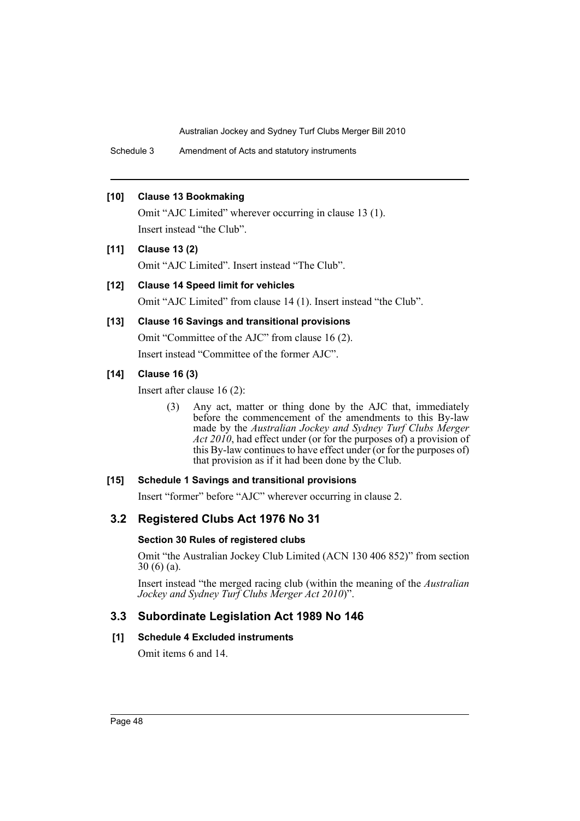Schedule 3 Amendment of Acts and statutory instruments

# **[10] Clause 13 Bookmaking**

Omit "AJC Limited" wherever occurring in clause 13 (1). Insert instead "the Club".

**[11] Clause 13 (2)**

Omit "AJC Limited". Insert instead "The Club".

# **[12] Clause 14 Speed limit for vehicles**

Omit "AJC Limited" from clause 14 (1). Insert instead "the Club".

### **[13] Clause 16 Savings and transitional provisions**

Omit "Committee of the AJC" from clause 16 (2).

Insert instead "Committee of the former AJC".

# **[14] Clause 16 (3)**

Insert after clause 16 (2):

(3) Any act, matter or thing done by the AJC that, immediately before the commencement of the amendments to this By-law made by the *Australian Jockey and Sydney Turf Clubs Merger Act 2010*, had effect under (or for the purposes of) a provision of this By-law continues to have effect under (or for the purposes of) that provision as if it had been done by the Club.

#### **[15] Schedule 1 Savings and transitional provisions**

Insert "former" before "AJC" wherever occurring in clause 2.

# **3.2 Registered Clubs Act 1976 No 31**

#### **Section 30 Rules of registered clubs**

Omit "the Australian Jockey Club Limited (ACN 130 406 852)" from section 30 (6) (a).

Insert instead "the merged racing club (within the meaning of the *Australian Jockey and Sydney Turf Clubs Merger Act 2010*)".

# **3.3 Subordinate Legislation Act 1989 No 146**

#### **[1] Schedule 4 Excluded instruments**

Omit items 6 and 14.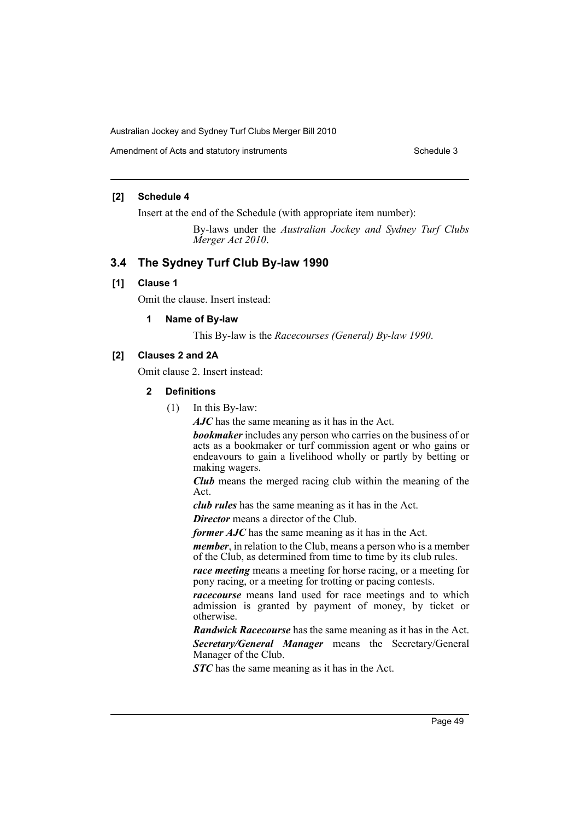### **[2] Schedule 4**

Insert at the end of the Schedule (with appropriate item number):

By-laws under the *Australian Jockey and Sydney Turf Clubs Merger Act 2010*.

# **3.4 The Sydney Turf Club By-law 1990**

# **[1] Clause 1**

Omit the clause. Insert instead:

### **1 Name of By-law**

This By-law is the *Racecourses (General) By-law 1990*.

### **[2] Clauses 2 and 2A**

Omit clause 2. Insert instead:

### **2 Definitions**

(1) In this By-law:

*AJC* has the same meaning as it has in the Act.

*bookmaker* includes any person who carries on the business of or acts as a bookmaker or turf commission agent or who gains or endeavours to gain a livelihood wholly or partly by betting or making wagers.

*Club* means the merged racing club within the meaning of the Act.

*club rules* has the same meaning as it has in the Act.

*Director* means a director of the Club.

*former AJC* has the same meaning as it has in the Act.

*member*, in relation to the Club, means a person who is a member of the Club, as determined from time to time by its club rules.

*race meeting* means a meeting for horse racing, or a meeting for pony racing, or a meeting for trotting or pacing contests.

*racecourse* means land used for race meetings and to which admission is granted by payment of money, by ticket or otherwise.

*Randwick Racecourse* has the same meaning as it has in the Act. *Secretary/General Manager* means the Secretary/General Manager of the Club.

*STC* has the same meaning as it has in the Act.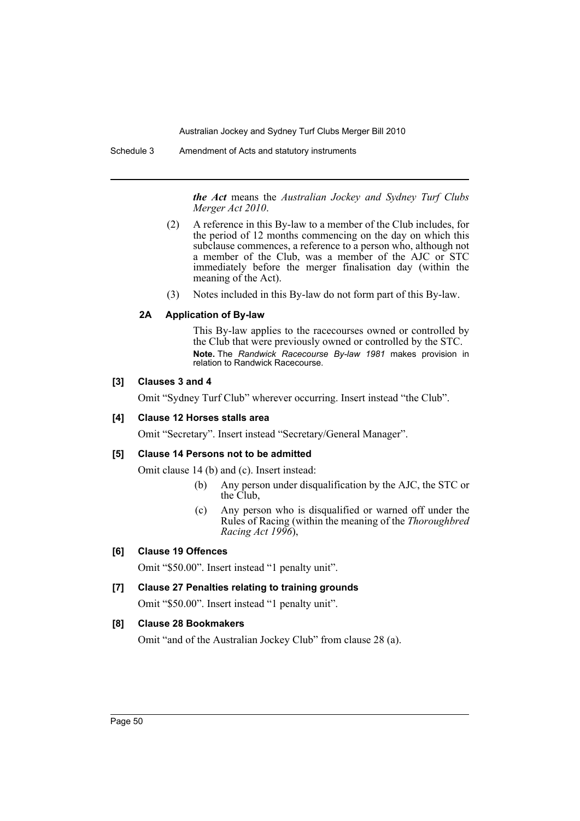Schedule 3 Amendment of Acts and statutory instruments

*the Act* means the *Australian Jockey and Sydney Turf Clubs Merger Act 2010*.

- (2) A reference in this By-law to a member of the Club includes, for the period of 12 months commencing on the day on which this subclause commences, a reference to a person who, although not a member of the Club, was a member of the AJC or STC immediately before the merger finalisation day (within the meaning of the Act).
- (3) Notes included in this By-law do not form part of this By-law.

# **2A Application of By-law**

This By-law applies to the racecourses owned or controlled by the Club that were previously owned or controlled by the STC. **Note.** The *Randwick Racecourse By-law 1981* makes provision in relation to Randwick Racecourse.

# **[3] Clauses 3 and 4**

Omit "Sydney Turf Club" wherever occurring. Insert instead "the Club".

# **[4] Clause 12 Horses stalls area**

Omit "Secretary". Insert instead "Secretary/General Manager".

# **[5] Clause 14 Persons not to be admitted**

Omit clause 14 (b) and (c). Insert instead:

- (b) Any person under disqualification by the AJC, the STC or the Club,
- (c) Any person who is disqualified or warned off under the Rules of Racing (within the meaning of the *Thoroughbred Racing Act 1996*),

# **[6] Clause 19 Offences**

Omit "\$50.00". Insert instead "1 penalty unit".

# **[7] Clause 27 Penalties relating to training grounds**

Omit "\$50.00". Insert instead "1 penalty unit".

# **[8] Clause 28 Bookmakers**

Omit "and of the Australian Jockey Club" from clause 28 (a).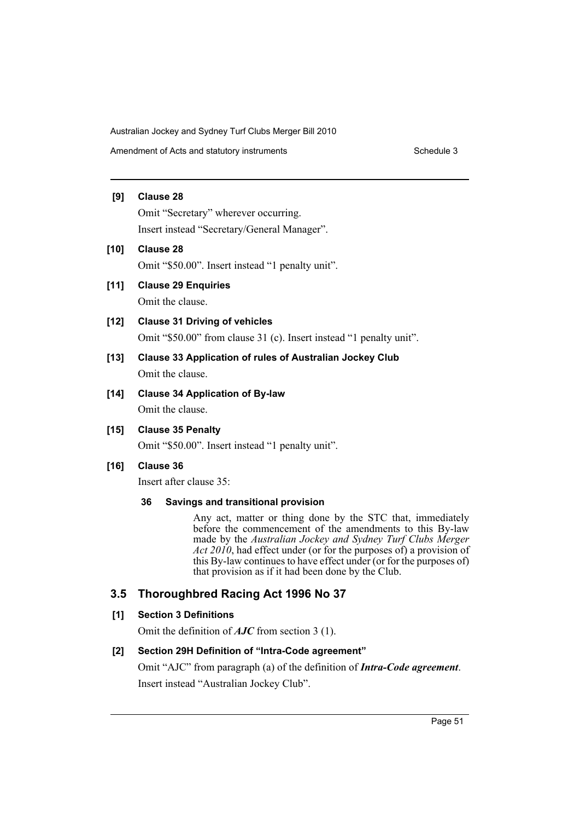Amendment of Acts and statutory instruments Schedule 3

# **[9] Clause 28**

Omit "Secretary" wherever occurring. Insert instead "Secretary/General Manager".

- **[10] Clause 28** Omit "\$50.00". Insert instead "1 penalty unit".
- **[11] Clause 29 Enquiries** Omit the clause.

**[12] Clause 31 Driving of vehicles**

Omit "\$50.00" from clause 31 (c). Insert instead "1 penalty unit".

- **[13] Clause 33 Application of rules of Australian Jockey Club** Omit the clause.
- **[14] Clause 34 Application of By-law**

Omit the clause.

# **[15] Clause 35 Penalty**

Omit "\$50.00". Insert instead "1 penalty unit".

# **[16] Clause 36**

Insert after clause 35:

# **36 Savings and transitional provision**

Any act, matter or thing done by the STC that, immediately before the commencement of the amendments to this By-law made by the *Australian Jockey and Sydney Turf Clubs Merger Act 2010*, had effect under (or for the purposes of) a provision of this By-law continues to have effect under (or for the purposes of) that provision as if it had been done by the Club.

# **3.5 Thoroughbred Racing Act 1996 No 37**

# **[1] Section 3 Definitions**

Omit the definition of *AJC* from section 3 (1).

# **[2] Section 29H Definition of "Intra-Code agreement"**

Omit "AJC" from paragraph (a) of the definition of *Intra-Code agreement*. Insert instead "Australian Jockey Club".